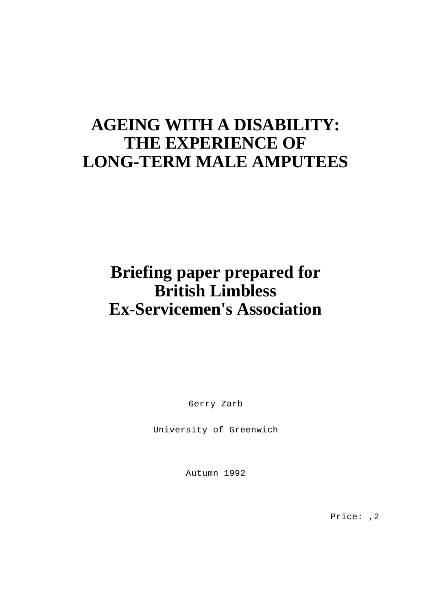# **AGEING WITH A DISABILITY: THE EXPERIENCE OF LONG-TERM MALE AMPUTEES**

# **Briefing paper prepared for British Limbless Ex-Servicemen's Association**

Gerry Zarb

University of Greenwich

Autumn 1992

Price: ,2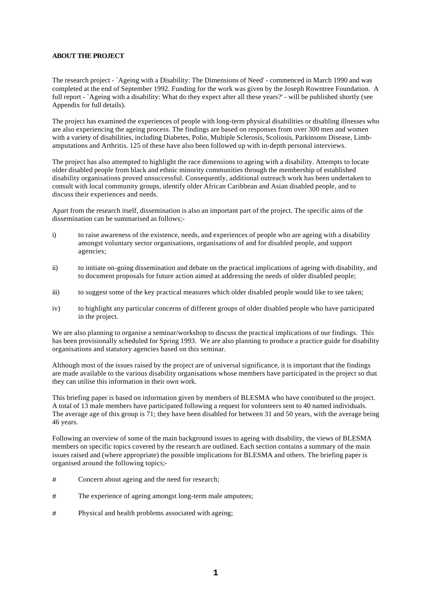#### **ABOUT THE PROJECT**

The research project - `Ageing with a Disability: The Dimensions of Need' - commenced in March 1990 and was completed at the end of September 1992. Funding for the work was given by the Joseph Rowntree Foundation. A full report - `Ageing with a disability: What do they expect after all these years?' - will be published shortly (see Appendix for full details).

The project has examined the experiences of people with long-term physical disabilities or disabling illnesses who are also experiencing the ageing process. The findings are based on responses from over 300 men and women with a variety of disabilities, including Diabetes, Polio, Multiple Sclerosis, Scoliosis, Parkinsons Disease, Limbamputations and Arthritis. 125 of these have also been followed up with in-depth personal interviews.

The project has also attempted to highlight the race dimensions to ageing with a disability. Attempts to locate older disabled people from black and ethnic minority communities through the membership of established disability organisations proved unsuccessful. Consequently, additional outreach work has been undertaken to consult with local community groups, identify older African Caribbean and Asian disabled people, and to discuss their experiences and needs.

Apart from the research itself, dissemination is also an important part of the project. The specific aims of the dissemination can be summarised as follows;

- i) to raise awareness of the existence, needs, and experiences of people who are ageing with a disability amongst voluntary sector organisations, organisations of and for disabled people, and support agencies;
- ii) to initiate on-going dissemination and debate on the practical implications of ageing with disability, and to document proposals for future action aimed at addressing the needs of older disabled people;
- iii) to suggest some of the key practical measures which older disabled people would like to see taken;
- iv) to highlight any particular concerns of different groups of older disabled people who have participated in the project.

We are also planning to organise a seminar/workshop to discuss the practical implications of our findings. This has been provisionally scheduled for Spring 1993. We are also planning to produce a practice guide for disability organisations and statutory agencies based on this seminar.

Although most of the issues raised by the project are of universal significance, it is important that the findings are made available to the various disability organisations whose members have participated in the project so that they can utilise this information in their own work.

This briefing paper is based on information given by members of BLESMA who have contributed to the project. A total of 13 male members have participated following a request for volunteers sent to 40 named individuals. The average age of this group is 71; they have been disabled for between 31 and 50 years, with the average being 46 years.

Following an overview of some of the main background issues to ageing with disability, the views of BLESMA members on specific topics covered by the research are outlined. Each section contains a summary of the main issues raised and (where appropriate) the possible implications for BLESMA and others. The briefing paper is organised around the following topics;-

- # Concern about ageing and the need for research;
- # The experience of ageing amongst long-term male amputees;
- # Physical and health problems associated with ageing;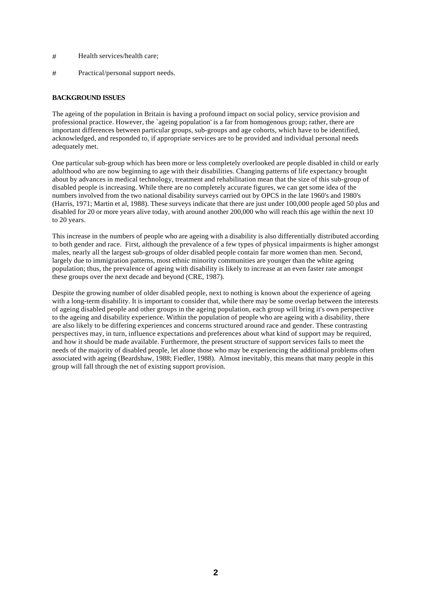- # Health services/health care;
- # Practical/personal support needs.

#### **BACKGROUND ISSUES**

The ageing of the population in Britain is having a profound impact on social policy, service provision and professional practice. However, the `ageing population' is a far from homogenous group; rather, there are important differences between particular groups, sub-groups and age cohorts, which have to be identified, acknowledged, and responded to, if appropriate services are to be provided and individual personal needs adequately met.

One particular sub-group which has been more or less completely overlooked are people disabled in child or early adulthood who are now beginning to age with their disabilities. Changing patterns of life expectancy brought about by advances in medical technology, treatment and rehabilitation mean that the size of this sub-group of disabled people is increasing. While there are no completely accurate figures, we can get some idea of the numbers involved from the two national disability surveys carried out by OPCS in the late 1960's and 1980's (Harris, 1971; Martin et al, 1988). These surveys indicate that there are just under 100,000 people aged 50 plus and disabled for 20 or more years alive today, with around another 200,000 who will reach this age within the next 10 to 20 years.

This increase in the numbers of people who are ageing with a disability is also differentially distributed according to both gender and race. First, although the prevalence of a few types of physical impairments is higher amongst males, nearly all the largest sub-groups of older disabled people contain far more women than men. Second, largely due to immigration patterns, most ethnic minority communities are younger than the white ageing population; thus, the prevalence of ageing with disability is likely to increase at an even faster rate amongst these groups over the next decade and beyond (CRE, 1987).

Despite the growing number of older disabled people, next to nothing is known about the experience of ageing with a long-term disability. It is important to consider that, while there may be some overlap between the interests of ageing disabled people and other groups in the ageing population, each group will bring it's own perspective to the ageing and disability experience. Within the population of people who are ageing with a disability, there are also likely to be differing experiences and concerns structured around race and gender. These contrasting perspectives may, in turn, influence expectations and preferences about what kind of support may be required, and how it should be made available. Furthermore, the present structure of support services fails to meet the needs of the majority of disabled people, let alone those who may be experiencing the additional problems often associated with ageing (Beardshaw, 1988; Fiedler, 1988). Almost inevitably, this means that many people in this group will fall through the net of existing support provision.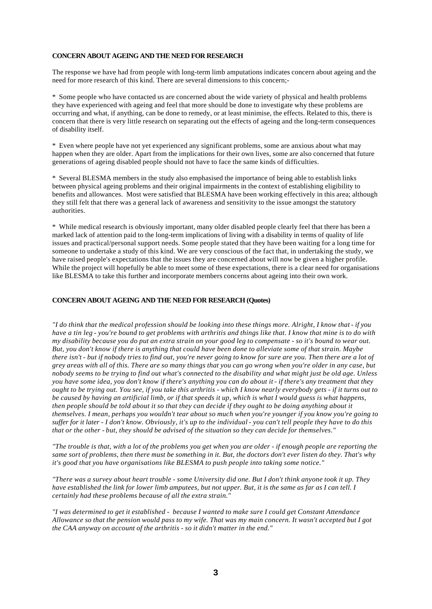#### **CONCERN ABOUT AGEING AND THE NEED FOR RESEARCH**

The response we have had from people with long-term limb amputations indicates concern about ageing and the need for more research of this kind. There are several dimensions to this concern;-

\* Some people who have contacted us are concerned about the wide variety of physical and health problems they have experienced with ageing and feel that more should be done to investigate why these problems are occurring and what, if anything, can be done to remedy, or at least minimise, the effects. Related to this, there is concern that there is very little research on separating out the effects of ageing and the long-term consequences of disability itself.

\* Even where people have not yet experienced any significant problems, some are anxious about what may happen when they are older. Apart from the implications for their own lives, some are also concerned that future generations of ageing disabled people should not have to face the same kinds of difficulties.

\* Several BLESMA members in the study also emphasised the importance of being able to establish links between physical ageing problems and their original impairments in the context of establishing eligibility to benefits and allowances. Most were satisfied that BLESMA have been working effectively in this area; although they still felt that there was a general lack of awareness and sensitivity to the issue amongst the statutory authorities.

\* While medical research is obviously important, many older disabled people clearly feel that there has been a marked lack of attention paid to the long-term implications of living with a disability in terms of quality of life issues and practical/personal support needs. Some people stated that they have been waiting for a long time for someone to undertake a study of this kind. We are very conscious of the fact that, in undertaking the study, we have raised people's expectations that the issues they are concerned about will now be given a higher profile. While the project will hopefully be able to meet some of these expectations, there is a clear need for organisations like BLESMA to take this further and incorporate members concerns about ageing into their own work.

#### **CONCERN ABOUT AGEING AND THE NEED FOR RESEARCH (Quotes)**

*"I do think that the medical profession should be looking into these things more. Alright, I know that - if you have a tin leg - you're bound to get problems with arthritis and things like that. I know that mine is to do with my disability because you do put an extra strain on your good leg to compensate - so it's bound to wear out. But, you don't know if there is anything that could have been done to alleviate some of that strain. Maybe there isn't - but if nobody tries to find out, you're never going to know for sure are you. Then there are a lot of grey areas with all of this. There are so many things that you can go wrong when you're older in any case, but nobody seems to be trying to find out what's connected to the disability and what might just be old age. Unless you have some idea, you don't know if there's anything you can do about it - if there's any treatment that they ought to be trying out. You see, if you take this arthritis - which I know nearly everybody gets - if it turns out to be caused by having an artificial limb, or if that speeds it up, which is what I would guess is what happens, then people should be told about it so that they can decide if they ought to be doing anything about it themselves. I mean, perhaps you wouldn't tear about so much when you're younger if you know you're going to suffer for it later - I don't know. Obviously, it's up to the individual - you can't tell people they have to do this that or the other - but, they should be advised of the situation so they can decide for themselves."* 

*"The trouble is that, with a lot of the problems you get when you are older - if enough people are reporting the same sort of problems, then there must be something in it. But, the doctors don't ever listen do they. That's why it's good that you have organisations like BLESMA to push people into taking some notice."* 

*"There was a survey about heart trouble - some University did one. But I don't think anyone took it up. They have established the link for lower limb amputees, but not upper. But, it is the same as far as I can tell. I certainly had these problems because of all the extra strain."* 

*"I was determined to get it established - because I wanted to make sure I could get Constant Attendance Allowance so that the pension would pass to my wife. That was my main concern. It wasn't accepted but I got the CAA anyway on account of the arthritis - so it didn't matter in the end."*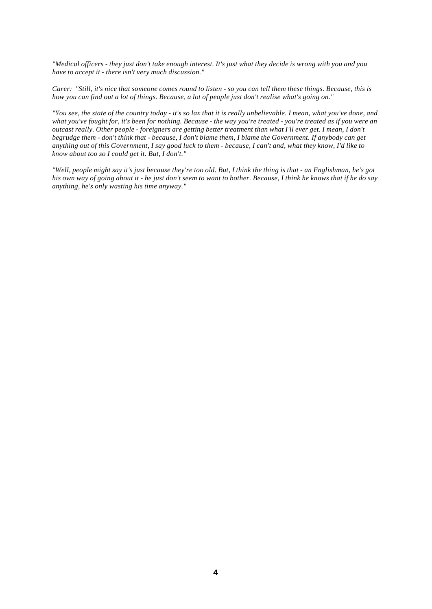*"Medical officers - they just don't take enough interest. It's just what they decide is wrong with you and you have to accept it - there isn't very much discussion."* 

*Carer: "Still, it's nice that someone comes round to listen - so you can tell them these things. Because, this is how you can find out a lot of things. Because, a lot of people just don't realise what's going on."* 

*"You see, the state of the country today - it's so lax that it is really unbelievable. I mean, what you've done, and what you've fought for, it's been for nothing. Because - the way you're treated - you're treated as if you were an outcast really. Other people - foreigners are getting better treatment than what I'll ever get. I mean, I don't begrudge them - don't think that - because, I don't blame them, I blame the Government. If anybody can get anything out of this Government, I say good luck to them - because, I can't and, what they know, I'd like to know about too so I could get it. But, I don't."* 

*"Well, people might say it's just because they're too old. But, I think the thing is that - an Englishman, he's got his own way of going about it - he just don't seem to want to bother. Because, I think he knows that if he do say anything, he's only wasting his time anyway."*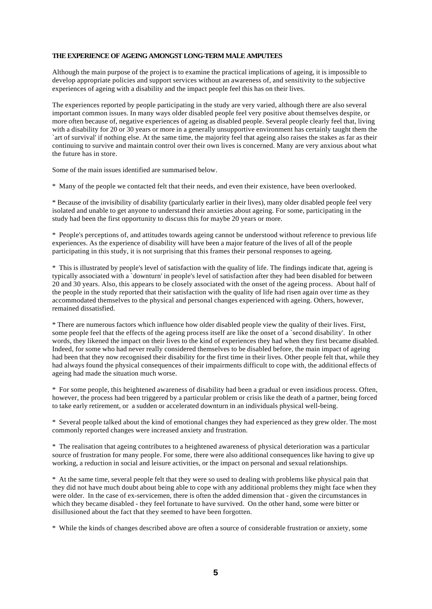#### **THE EXPERIENCE OF AGEING AMONGST LONG-TERM MALE AMPUTEES**

Although the main purpose of the project is to examine the practical implications of ageing, it is impossible to develop appropriate policies and support services without an awareness of, and sensitivity to the subjective experiences of ageing with a disability and the impact people feel this has on their lives.

The experiences reported by people participating in the study are very varied, although there are also several important common issues. In many ways older disabled people feel very positive about themselves despite, or more often because of, negative experiences of ageing as disabled people. Several people clearly feel that, living with a disability for 20 or 30 years or more in a generally unsupportive environment has certainly taught them the `art of survival' if nothing else. At the same time, the majority feel that ageing also raises the stakes as far as their continuing to survive and maintain control over their own lives is concerned. Many are very anxious about what the future has in store.

Some of the main issues identified are summarised below.

\* Many of the people we contacted felt that their needs, and even their existence, have been overlooked.

\* Because of the invisibility of disability (particularly earlier in their lives), many older disabled people feel very isolated and unable to get anyone to understand their anxieties about ageing. For some, participating in the study had been the first opportunity to discuss this for maybe 20 years or more.

\* People's perceptions of, and attitudes towards ageing cannot be understood without reference to previous life experiences. As the experience of disability will have been a major feature of the lives of all of the people participating in this study, it is not surprising that this frames their personal responses to ageing.

\* This is illustrated by people's level of satisfaction with the quality of life. The findings indicate that, ageing is typically associated with a `downturn' in people's level of satisfaction after they had been disabled for between 20 and 30 years. Also, this appears to be closely associated with the onset of the ageing process. About half of the people in the study reported that their satisfaction with the quality of life had risen again over time as they accommodated themselves to the physical and personal changes experienced with ageing. Others, however, remained dissatisfied.

\* There are numerous factors which influence how older disabled people view the quality of their lives. First, some people feel that the effects of the ageing process itself are like the onset of a `second disability'. In other words, they likened the impact on their lives to the kind of experiences they had when they first became disabled. Indeed, for some who had never really considered themselves to be disabled before, the main impact of ageing had been that they now recognised their disability for the first time in their lives. Other people felt that, while they had always found the physical consequences of their impairments difficult to cope with, the additional effects of ageing had made the situation much worse.

\* For some people, this heightened awareness of disability had been a gradual or even insidious process. Often, however, the process had been triggered by a particular problem or crisis like the death of a partner, being forced to take early retirement, or a sudden or accelerated downturn in an individuals physical well-being.

\* Several people talked about the kind of emotional changes they had experienced as they grew older. The most commonly reported changes were increased anxiety and frustration.

\* The realisation that ageing contributes to a heightened awareness of physical deterioration was a particular source of frustration for many people. For some, there were also additional consequences like having to give up working, a reduction in social and leisure activities, or the impact on personal and sexual relationships.

\* At the same time, several people felt that they were so used to dealing with problems like physical pain that they did not have much doubt about being able to cope with any additional problems they might face when they were older. In the case of ex-servicemen, there is often the added dimension that - given the circumstances in which they became disabled - they feel fortunate to have survived. On the other hand, some were bitter or disillusioned about the fact that they seemed to have been forgotten.

\* While the kinds of changes described above are often a source of considerable frustration or anxiety, some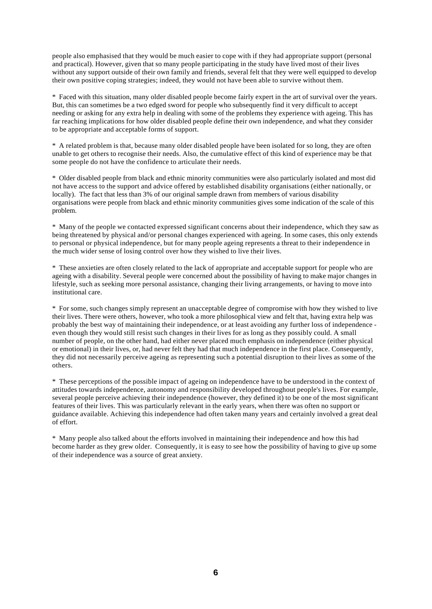people also emphasised that they would be much easier to cope with if they had appropriate support (personal and practical). However, given that so many people participating in the study have lived most of their lives without any support outside of their own family and friends, several felt that they were well equipped to develop their own positive coping strategies; indeed, they would not have been able to survive without them.

\* Faced with this situation, many older disabled people become fairly expert in the art of survival over the years. But, this can sometimes be a two edged sword for people who subsequently find it very difficult to accept needing or asking for any extra help in dealing with some of the problems they experience with ageing. This has far reaching implications for how older disabled people define their own independence, and what they consider to be appropriate and acceptable forms of support.

\* A related problem is that, because many older disabled people have been isolated for so long, they are often unable to get others to recognise their needs. Also, the cumulative effect of this kind of experience may be that some people do not have the confidence to articulate their needs.

\* Older disabled people from black and ethnic minority communities were also particularly isolated and most did not have access to the support and advice offered by established disability organisations (either nationally, or locally). The fact that less than 3% of our original sample drawn from members of various disability organisations were people from black and ethnic minority communities gives some indication of the scale of this problem.

\* Many of the people we contacted expressed significant concerns about their independence, which they saw as being threatened by physical and/or personal changes experienced with ageing. In some cases, this only extends to personal or physical independence, but for many people ageing represents a threat to their independence in the much wider sense of losing control over how they wished to live their lives.

\* These anxieties are often closely related to the lack of appropriate and acceptable support for people who are ageing with a disability. Several people were concerned about the possibility of having to make major changes in lifestyle, such as seeking more personal assistance, changing their living arrangements, or having to move into institutional care.

\* For some, such changes simply represent an unacceptable degree of compromise with how they wished to live their lives. There were others, however, who took a more philosophical view and felt that, having extra help was probably the best way of maintaining their independence, or at least avoiding any further loss of independence even though they would still resist such changes in their lives for as long as they possibly could. A small number of people, on the other hand, had either never placed much emphasis on independence (either physical or emotional) in their lives, or, had never felt they had that much independence in the first place. Consequently, they did not necessarily perceive ageing as representing such a potential disruption to their lives as some of the others.

\* These perceptions of the possible impact of ageing on independence have to be understood in the context of attitudes towards independence, autonomy and responsibility developed throughout people's lives. For example, several people perceive achieving their independence (however, they defined it) to be one of the most significant features of their lives. This was particularly relevant in the early years, when there was often no support or guidance available. Achieving this independence had often taken many years and certainly involved a great deal of effort.

\* Many people also talked about the efforts involved in maintaining their independence and how this had become harder as they grew older. Consequently, it is easy to see how the possibility of having to give up some of their independence was a source of great anxiety.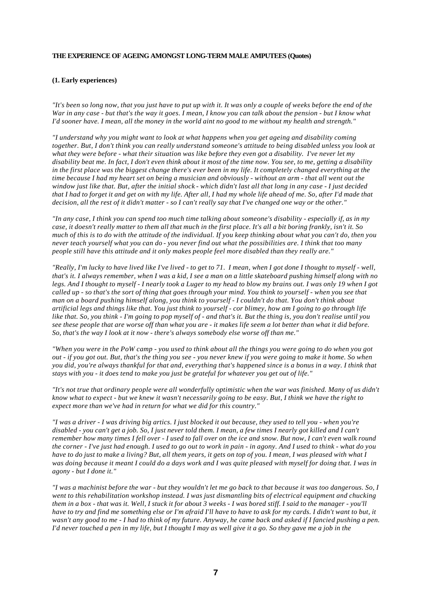#### **THE EXPERIENCE OF AGEING AMONGST LONG-TERM MALE AMPUTEES (Quotes)**

#### **(1. Early experiences)**

*"It's been so long now, that you just have to put up with it. It was only a couple of weeks before the end of the War in any case - but that's the way it goes. I mean, I know you can talk about the pension - but I know what I'd sooner have. I mean, all the money in the world aint no good to me without my health and strength."* 

*"I understand why you might want to look at what happens when you get ageing and disability coming*  together. But, I don't think you can really understand someone's attitude to being disabled unless you look at *what they were before - what their situation was like before they even got a disability. I've never let my disability beat me. In fact, I don't even think about it most of the time now. You see, to me, getting a disability*  in the first place was the biggest change there's ever been in my life. It completely changed everything at the *time because I had my heart set on being a musician and obviously - without an arm - that all went out the window just like that. But, after the initial shock - which didn't last all that long in any case - I just decided that I had to forget it and get on with my life. After all, I had my whole life ahead of me. So, after I'd made that decision, all the rest of it didn't matter - so I can't really say that I've changed one way or the other."* 

*"In any case, I think you can spend too much time talking about someone's disability - especially if, as in my case, it doesn't really matter to them all that much in the first place. It's all a bit boring frankly, isn't it. So much of this is to do with the attitude of the individual. If you keep thinking about what you can't do, then you never teach yourself what you can do - you never find out what the possibilities are. I think that too many people still have this attitude and it only makes people feel more disabled than they really are."* 

*"Really, I'm lucky to have lived like I've lived - to get to 71. I mean, when I got done I thought to myself - well, that's it. I always remember, when I was a kid, I see a man on a little skateboard pushing himself along with no legs. And I thought to myself - I nearly took a Luger to my head to blow my brains out. I was only 19 when I got called up - so that's the sort of thing that goes through your mind. You think to yourself - when you see that man on a board pushing himself along, you think to yourself - I couldn't do that. You don't think about artificial legs and things like that. You just think to yourself - cor blimey, how am I going to go through life like that. So, you think - I'm going to pop myself of - and that's it. But the thing is, you don't realise until you see these people that are worse off than what you are - it makes life seem a lot better than what it did before. So, that's the way I look at it now - there's always somebody else worse off than me."* 

*"When you were in the PoW camp - you used to think about all the things you were going to do when you got out - if you got out. But, that's the thing you see - you never knew if you were going to make it home. So when you did, you're always thankful for that and, everything that's happened since is a bonus in a way. I think that stays with you - it does tend to make you just be grateful for whatever you get out of life."* 

*"It's not true that ordinary people were all wonderfully optimistic when the war was finished. Many of us didn't know what to expect - but we knew it wasn't necessarily going to be easy. But, I think we have the right to expect more than we've had in return for what we did for this country."* 

*"I was a driver - I was driving big artics. I just blocked it out because, they used to tell you - when you're*  disabled - you can't get a job. So, I just never told them. I mean, a few times I nearly got killed and I can't *remember how many times I fell over - I used to fall over on the ice and snow. But now, I can't even walk round the corner - I've just had enough. I used to go out to work in pain - in agony. And I used to think - what do you have to do just to make a living? But, all them years, it gets on top of you. I mean, I was pleased with what I was doing because it meant I could do a days work and I was quite pleased with myself for doing that. I was in agony - but I done it."* 

*"I was a machinist before the war - but they wouldn't let me go back to that because it was too dangerous. So, I went to this rehabilitation workshop instead. I was just dismantling bits of electrical equipment and chucking them in a box - that was it. Well, I stuck it for about 3 weeks - I was bored stiff. I said to the manager - you'll*  have to try and find me something else or I'm afraid I'll have to have to ask for my cards. I didn't want to but, it *wasn't any good to me - I had to think of my future. Anyway, he came back and asked if I fancied pushing a pen. I'd never touched a pen in my life, but I thought I may as well give it a go. So they gave me a job in the*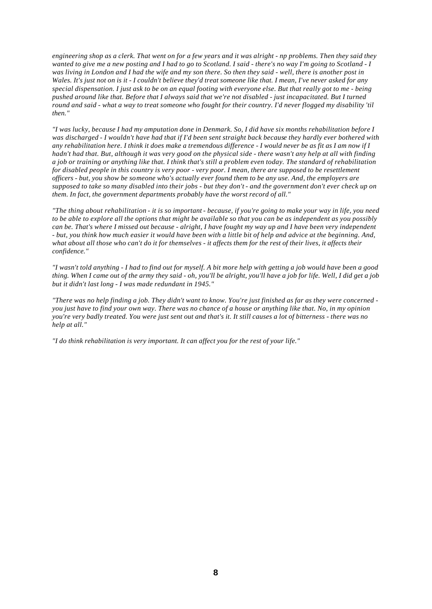*engineering shop as a clerk. That went on for a few years and it was alright - np problems. Then they said they wanted to give me a new posting and I had to go to Scotland. I said - there's no way I'm going to Scotland - I was living in London and I had the wife and my son there. So then they said - well, there is another post in Wales. It's just not on is it - I couldn't believe they'd treat someone like that. I mean, I've never asked for any special dispensation. I just ask to be on an equal footing with everyone else. But that really got to me - being pushed around like that. Before that I always said that we're not disabled - just incapacitated. But I turned round and said - what a way to treat someone who fought for their country. I'd never flogged my disability 'til then."* 

*"I was lucky, because I had my amputation done in Denmark. So, I did have six months rehabilitation before I was discharged - I wouldn't have had that if I'd been sent straight back because they hardly ever bothered with any rehabilitation here. I think it does make a tremendous difference - I would never be as fit as I am now if I hadn't had that. But, although it was very good on the physical side - there wasn't any help at all with finding a job or training or anything like that. I think that's still a problem even today. The standard of rehabilitation for disabled people in this country is very poor - very poor. I mean, there are supposed to be resettlement officers - but, you show be someone who's actually ever found them to be any use. And, the employers are supposed to take so many disabled into their jobs - but they don't - and the government don't ever check up on them. In fact, the government departments probably have the worst record of all."* 

*"The thing about rehabilitation - it is so important - because, if you're going to make your way in life, you need to be able to explore all the options that might be available so that you can be as independent as you possibly can be. That's where I missed out because - alright, I have fought my way up and I have been very independent - but, you think how much easier it would have been with a little bit of help and advice at the beginning. And, what about all those who can't do it for themselves - it affects them for the rest of their lives, it affects their confidence."* 

*"I wasn't told anything - I had to find out for myself. A bit more help with getting a job would have been a good thing. When I came out of the army they said - oh, you'll be alright, you'll have a job for life. Well, I did get a job but it didn't last long - I was made redundant in 1945."* 

*"There was no help finding a job. They didn't want to know. You're just finished as far as they were concerned you just have to find your own way. There was no chance of a house or anything like that. No, in my opinion you're very badly treated. You were just sent out and that's it. It still causes a lot of bitterness - there was no help at all."* 

*"I do think rehabilitation is very important. It can affect you for the rest of your life."*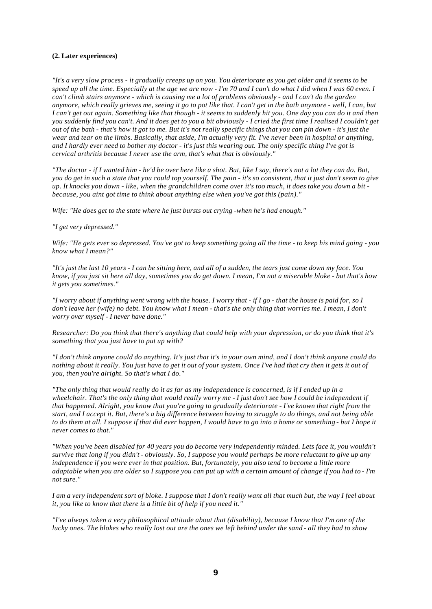#### **(2. Later experiences)**

*"It's a very slow process - it gradually creeps up on you. You deteriorate as you get older and it seems to be speed up all the time. Especially at the age we are now - I'm 70 and I can't do what I did when I was 60 even. I can't climb stairs anymore - which is causing me a lot of problems obviously - and I can't do the garden anymore, which really grieves me, seeing it go to pot like that. I can't get in the bath anymore - well, I can, but I can't get out again. Something like that though - it seems to suddenly hit you. One day you can do it and then you suddenly find you can't. And it does get to you a bit obviously - I cried the first time I realised I couldn't get out of the bath - that's how it got to me. But it's not really specific things that you can pin down - it's just the wear and tear on the limbs. Basically, that aside, I'm actually very fit. I've never been in hospital or anything, and I hardly ever need to bother my doctor - it's just this wearing out. The only specific thing I've got is cervical arthritis because I never use the arm, that's what that is obviously."* 

*"The doctor - if I wanted him - he'd be over here like a shot. But, like I say, there's not a lot they can do. But, you do get in such a state that you could top yourself. The pain - it's so consistent, that it just don't seem to give up. It knocks you down - like, when the grandchildren come over it's too much, it does take you down a bit because, you aint got time to think about anything else when you've got this (pain)."* 

*Wife: "He does get to the state where he just bursts out crying -when he's had enough."* 

#### *"I get very depressed."*

*Wife: "He gets ever so depressed. You've got to keep something going all the time - to keep his mind going - you know what I mean?"* 

*"It's just the last 10 years - I can be sitting here, and all of a sudden, the tears just come down my face. You know, if you just sit here all day, sometimes you do get down. I mean, I'm not a miserable bloke - but that's how it gets you sometimes."* 

*"I worry about if anything went wrong with the house. I worry that - if I go - that the house is paid for, so I don't leave her (wife) no debt. You know what I mean - that's the only thing that worries me. I mean, I don't worry over myself - I never have done."* 

*Researcher: Do you think that there's anything that could help with your depression, or do you think that it's something that you just have to put up with?* 

*"I don't think anyone could do anything. It's just that it's in your own mind, and I don't think anyone could do nothing about it really. You just have to get it out of your system. Once I've had that cry then it gets it out of you, then you're alright. So that's what I do."* 

*"The only thing that would really do it as far as my independence is concerned, is if I ended up in a wheelchair. That's the only thing that would really worry me - I just don't see how I could be independent if that happened. Alright, you know that you're going to gradually deteriorate - I've known that right from the start, and I accept it. But, there's a big difference between having to struggle to do things, and not being able*  to do them at all. I suppose if that did ever happen, I would have to go into a home or something - but I hope it *never comes to that."* 

*"When you've been disabled for 40 years you do become very independently minded. Lets face it, you wouldn't survive that long if you didn't - obviously. So, I suppose you would perhaps be more reluctant to give up any independence if you were ever in that position. But, fortunately, you also tend to become a little more adaptable when you are older so I suppose you can put up with a certain amount of change if you had to - I'm not sure."* 

*I am a very independent sort of bloke. I suppose that I don't really want all that much but, the way I feel about it, you like to know that there is a little bit of help if you need it."* 

*"I've always taken a very philosophical attitude about that (disability), because I know that I'm one of the lucky ones. The blokes who really lost out are the ones we left behind under the sand - all they had to show*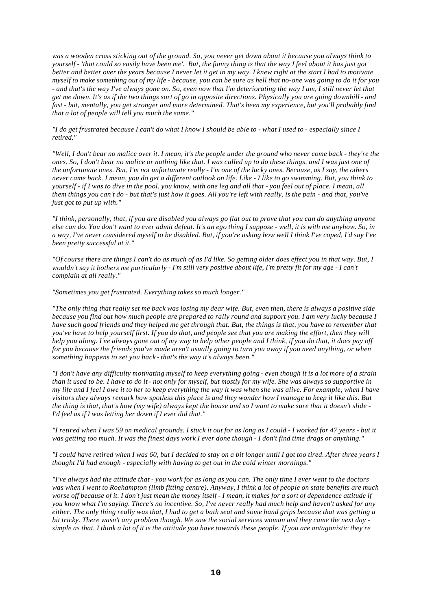*was a wooden cross sticking out of the ground. So, you never get down about it because you always think to yourself - 'that could so easily have been me'. But, the funny thing is that the way I feel about it has just got better and better over the years because I never let it get in my way. I knew right at the start I had to motivate myself to make something out of my life - because, you can be sure as hell that no-one was going to do it for you - and that's the way I've always gone on. So, even now that I'm deteriorating the way I am, I still never let that get me down. It's as if the two things sort of go in opposite directions. Physically you are going downhill - and*  fast - but, mentally, you get stronger and more determined. That's been my experience, but you'll probably find *that a lot of people will tell you much the same."* 

*"I do get frustrated because I can't do what I know I should be able to - what I used to - especially since I retired."* 

*"Well, I don't bear no malice over it. I mean, it's the people under the ground who never come back - they're the ones. So, I don't bear no malice or nothing like that. I was called up to do these things, and I was just one of the unfortunate ones. But, I'm not unfortunate really - I'm one of the lucky ones. Because, as I say, the others never came back. I mean, you do get a different outlook on life. Like - I like to go swimming. But, you think to yourself - if I was to dive in the pool, you know, with one leg and all that - you feel out of place. I mean, all them things you can't do - but that's just how it goes. All you're left with really, is the pain - and that, you've just got to put up with."* 

*"I think, personally, that, if you are disabled you always go flat out to prove that you can do anything anyone else can do. You don't want to ever admit defeat. It's an ego thing I suppose - well, it is with me anyhow. So, in a way, I've never considered myself to be disabled. But, if you're asking how well I think I've coped, I'd say I've been pretty successful at it."* 

*"Of course there are things I can't do as much of as I'd like. So getting older does effect you in that way. But, I wouldn't say it bothers me particularly - I'm still very positive about life, I'm pretty fit for my age - I can't complain at all really."* 

*"Sometimes you get frustrated. Everything takes so much longer."* 

*"The only thing that really set me back was losing my dear wife. But, even then, there is always a positive side because you find out how much people are prepared to rally round and support you. I am very lucky because I have such good friends and they helped me get through that. But, the things is that, you have to remember that you've have to help yourself first. If you do that, and people see that you are making the effort, then they will help you along. I've always gone out of my way to help other people and I think, if you do that, it does pay off for you because the friends you've made aren't usually going to turn you away if you need anything, or when something happens to set you back - that's the way it's always been."* 

*"I don't have any difficulty motivating myself to keep everything going - even though it is a lot more of a strain than it used to be. I have to do it - not only for myself, but mostly for my wife. She was always so supportive in my life and I feel I owe it to her to keep everything the way it was when she was alive. For example, when I have visitors they always remark how spotless this place is and they wonder how I manage to keep it like this. But the thing is that, that's how (my wife) always kept the house and so I want to make sure that it doesn't slide - I'd feel as if I was letting her down if I ever did that."* 

*"I retired when I was 59 on medical grounds. I stuck it out for as long as I could - I worked for 47 years - but it was getting too much. It was the finest days work I ever done though - I don't find time drags or anything."* 

*"I could have retired when I was 60, but I decided to stay on a bit longer until I got too tired. After three years I thought I'd had enough - especially with having to get out in the cold winter mornings."* 

*"I've always had the attitude that - you work for as long as you can. The only time I ever went to the doctors was when I went to Roehampton (limb fitting centre). Anyway, I think a lot of people on state benefits are much*  worse off because of it. I don't just mean the money itself - I mean, it makes for a sort of dependence attitude if *you know what I'm saying. There's no incentive. So, I've never really had much help and haven't asked for any either. The only thing really was that, I had to get a bath seat and some hand grips because that was getting a bit tricky. There wasn't any problem though. We saw the social services woman and they came the next day simple as that. I think a lot of it is the attitude you have towards these people. If you are antagonistic they're*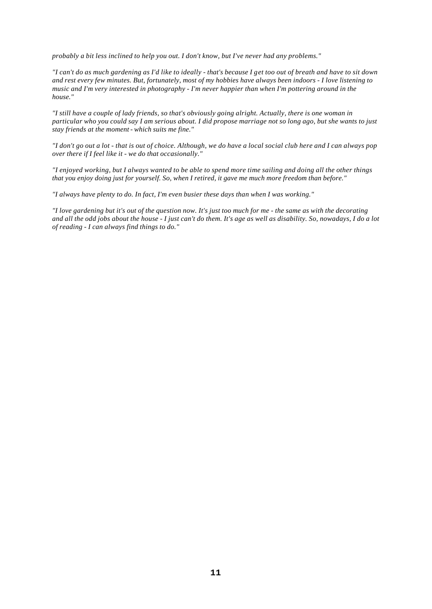*probably a bit less inclined to help you out. I don't know, but I've never had any problems."* 

*"I can't do as much gardening as I'd like to ideally - that's because I get too out of breath and have to sit down and rest every few minutes. But, fortunately, most of my hobbies have always been indoors - I love listening to music and I'm very interested in photography - I'm never happier than when I'm pottering around in the house."* 

*"I still have a couple of lady friends, so that's obviously going alright. Actually, there is one woman in particular who you could say I am serious about. I did propose marriage not so long ago, but she wants to just stay friends at the moment - which suits me fine."* 

*"I don't go out a lot - that is out of choice. Although, we do have a local social club here and I can always pop over there if I feel like it - we do that occasionally."* 

*"I enjoyed working, but I always wanted to be able to spend more time sailing and doing all the other things that you enjoy doing just for yourself. So, when I retired, it gave me much more freedom than before."* 

*"I always have plenty to do. In fact, I'm even busier these days than when I was working."* 

*"I love gardening but it's out of the question now. It's just too much for me - the same as with the decorating and all the odd jobs about the house - I just can't do them. It's age as well as disability. So, nowadays, I do a lot of reading - I can always find things to do."*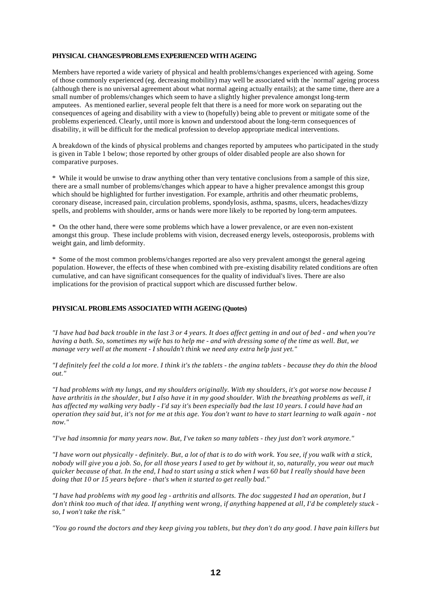#### **PHYSICAL CHANGES/PROBLEMS EXPERIENCED WITH AGEING**

Members have reported a wide variety of physical and health problems/changes experienced with ageing. Some of those commonly experienced (eg. decreasing mobility) may well be associated with the `normal' ageing process (although there is no universal agreement about what normal ageing actually entails); at the same time, there are a small number of problems/changes which seem to have a slightly higher prevalence amongst long-term amputees. As mentioned earlier, several people felt that there is a need for more work on separating out the consequences of ageing and disability with a view to (hopefully) being able to prevent or mitigate some of the problems experienced. Clearly, until more is known and understood about the long-term consequences of disability, it will be difficult for the medical profession to develop appropriate medical interventions.

A breakdown of the kinds of physical problems and changes reported by amputees who participated in the study is given in Table 1 below; those reported by other groups of older disabled people are also shown for comparative purposes.

\* While it would be unwise to draw anything other than very tentative conclusions from a sample of this size, there are a small number of problems/changes which appear to have a higher prevalence amongst this group which should be highlighted for further investigation. For example, arthritis and other rheumatic problems, coronary disease, increased pain, circulation problems, spondylosis, asthma, spasms, ulcers, headaches/dizzy spells, and problems with shoulder, arms or hands were more likely to be reported by long-term amputees.

\* On the other hand, there were some problems which have a lower prevalence, or are even non-existent amongst this group. These include problems with vision, decreased energy levels, osteoporosis, problems with weight gain, and limb deformity.

\* Some of the most common problems/changes reported are also very prevalent amongst the general ageing population. However, the effects of these when combined with pre-existing disability related conditions are often cumulative, and can have significant consequences for the quality of individual's lives. There are also implications for the provision of practical support which are discussed further below.

#### **PHYSICAL PROBLEMS ASSOCIATED WITH AGEING (Quotes)**

*"I have had bad back trouble in the last 3 or 4 years. It does affect getting in and out of bed - and when you're having a bath. So, sometimes my wife has to help me - and with dressing some of the time as well. But, we manage very well at the moment - I shouldn't think we need any extra help just yet."* 

*"I definitely feel the cold a lot more. I think it's the tablets - the angina tablets - because they do thin the blood out."* 

*"I had problems with my lungs, and my shoulders originally. With my shoulders, it's got worse now because I*  have arthritis in the shoulder, but I also have it in my good shoulder. With the breathing problems as well, it *has affected my walking very badly - I'd say it's been especially bad the last 10 years. I could have had an operation they said but, it's not for me at this age. You don't want to have to start learning to walk again - not now."* 

*"I've had insomnia for many years now. But, I've taken so many tablets - they just don't work anymore."* 

*"I have worn out physically - definitely. But, a lot of that is to do with work. You see, if you walk with a stick, nobody will give you a job. So, for all those years I used to get by without it, so, naturally, you wear out much quicker because of that. In the end, I had to start using a stick when I was 60 but I really should have been doing that 10 or 15 years before - that's when it started to get really bad."* 

*"I have had problems with my good leg - arthritis and allsorts. The doc suggested I had an operation, but I don't think too much of that idea. If anything went wrong, if anything happened at all, I'd be completely stuck so, I won't take the risk."* 

*"You go round the doctors and they keep giving you tablets, but they don't do any good. I have pain killers but*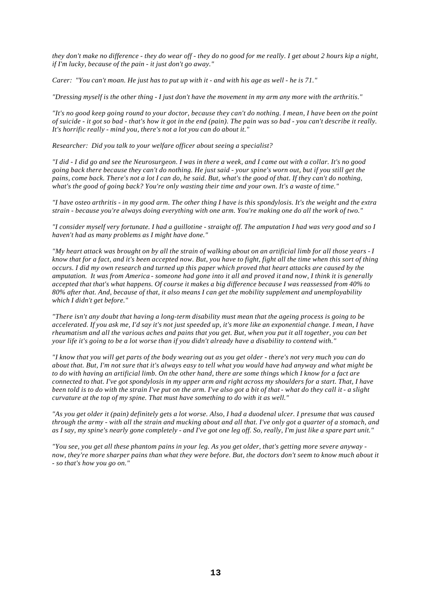*they don't make no difference - they do wear off - they do no good for me really. I get about 2 hours kip a night, if I'm lucky, because of the pain - it just don't go away."* 

*Carer: "You can't moan. He just has to put up with it - and with his age as well - he is 71."* 

*"Dressing myself is the other thing - I just don't have the movement in my arm any more with the arthritis."* 

*"It's no good keep going round to your doctor, because they can't do nothing. I mean, I have been on the point of suicide - it got so bad - that's how it got in the end (pain). The pain was so bad - you can't describe it really. It's horrific really - mind you, there's not a lot you can do about it."* 

*Researcher: Did you talk to your welfare officer about seeing a specialist?* 

*"I did - I did go and see the Neurosurgeon. I was in there a week, and I came out with a collar. It's no good going back there because they can't do nothing. He just said - your spine's worn out, but if you still get the pains, come back. There's not a lot I can do, he said. But, what's the good of that. If they can't do nothing, what's the good of going back? You're only wasting their time and your own. It's a waste of time."* 

*"I have osteo arthritis - in my good arm. The other thing I have is this spondylosis. It's the weight and the extra strain - because you're always doing everything with one arm. You're making one do all the work of two."* 

*"I consider myself very fortunate. I had a guillotine - straight off. The amputation I had was very good and so I haven't had as many problems as I might have done."* 

*"My heart attack was brought on by all the strain of walking about on an artificial limb for all those years - I know that for a fact, and it's been accepted now. But, you have to fight, fight all the time when this sort of thing occurs. I did my own research and turned up this paper which proved that heart attacks are caused by the amputation. It was from America - someone had gone into it all and proved it and now, I think it is generally accepted that that's what happens. Of course it makes a big difference because I was reassessed from 40% to 80% after that. And, because of that, it also means I can get the mobility supplement and unemployability which I didn't get before."* 

*"There isn't any doubt that having a long-term disability must mean that the ageing process is going to be accelerated. If you ask me, I'd say it's not just speeded up, it's more like an exponential change. I mean, I have rheumatism and all the various aches and pains that you get. But, when you put it all together, you can bet your life it's going to be a lot worse than if you didn't already have a disability to contend with."* 

*"I know that you will get parts of the body wearing out as you get older - there's not very much you can do about that. But, I'm not sure that it's always easy to tell what you would have had anyway and what might be to do with having an artificial limb. On the other hand, there are some things which I know for a fact are connected to that. I've got spondylosis in my upper arm and right across my shoulders for a start. That, I have been told is to do with the strain I've put on the arm. I've also got a bit of that - what do they call it - a slight curvature at the top of my spine. That must have something to do with it as well."* 

*"As you get older it (pain) definitely gets a lot worse. Also, I had a duodenal ulcer. I presume that was caused through the army - with all the strain and mucking about and all that. I've only got a quarter of a stomach, and as I say, my spine's nearly gone completely - and I've got one leg off. So, really, I'm just like a spare part unit."* 

*"You see, you get all these phantom pains in your leg. As you get older, that's getting more severe anyway now, they're more sharper pains than what they were before. But, the doctors don't seem to know much about it - so that's how you go on."*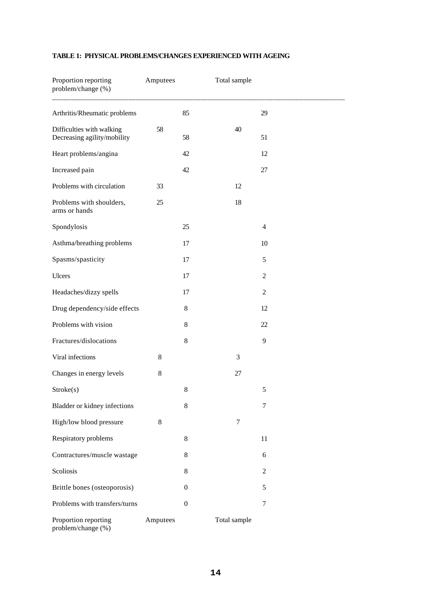| Proportion reporting<br>problem/change (%)               | Amputees |                  | Total sample     |                |  |
|----------------------------------------------------------|----------|------------------|------------------|----------------|--|
| Arthritis/Rheumatic problems                             |          | 85               |                  | 29             |  |
| Difficulties with walking<br>Decreasing agility/mobility | 58       | 58               | 40               | 51             |  |
| Heart problems/angina                                    |          | 42               |                  | 12             |  |
| Increased pain                                           |          | 42               |                  | 27             |  |
| Problems with circulation                                | 33       |                  | 12               |                |  |
| Problems with shoulders,<br>arms or hands                | 25       |                  | 18               |                |  |
| Spondylosis                                              |          | 25               |                  | $\overline{4}$ |  |
| Asthma/breathing problems                                |          | 17               |                  | 10             |  |
| Spasms/spasticity                                        |          | 17               |                  | 5              |  |
| Ulcers                                                   |          | 17               |                  | $\overline{c}$ |  |
| Headaches/dizzy spells                                   |          | 17               |                  | $\overline{c}$ |  |
| Drug dependency/side effects                             |          | $8\,$            |                  | 12             |  |
| Problems with vision                                     |          | 8                |                  | 22             |  |
| Fractures/dislocations                                   |          | $8\,$            |                  | 9              |  |
| Viral infections                                         | 8        |                  | 3                |                |  |
| Changes in energy levels                                 | 8        |                  | 27               |                |  |
| Stroke(s)                                                |          | $8\,$            |                  | 5              |  |
| Bladder or kidney infections                             |          | $8\,$            |                  | $\overline{7}$ |  |
| High/low blood pressure                                  | $8\,$    |                  | $\boldsymbol{7}$ |                |  |
| Respiratory problems                                     |          | $8\,$            |                  | 11             |  |
| Contractures/muscle wastage                              |          | 8                |                  | 6              |  |
| Scoliosis                                                |          | $8\,$            |                  | $\overline{c}$ |  |
| Brittle bones (osteoporosis)                             |          | $\boldsymbol{0}$ |                  | 5              |  |
| Problems with transfers/turns                            |          | $\boldsymbol{0}$ |                  | $\tau$         |  |
| Proportion reporting<br>problem/change (%)               | Amputees |                  | Total sample     |                |  |

# **TABLE 1: PHYSICAL PROBLEMS/CHANGES EXPERIENCED WITH AGEING**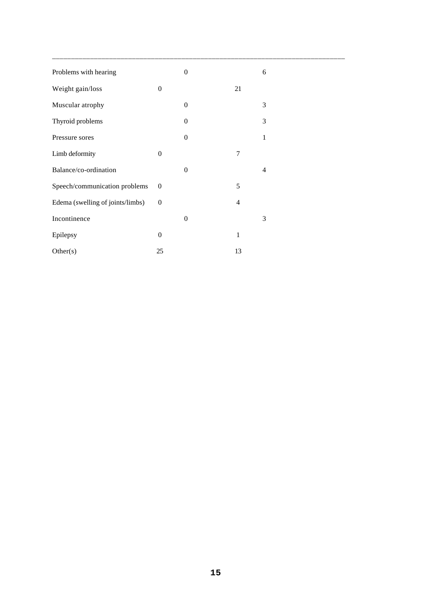| Problems with hearing            |                  | $\boldsymbol{0}$ |                | 6 |
|----------------------------------|------------------|------------------|----------------|---|
| Weight gain/loss                 | $\overline{0}$   |                  | 21             |   |
| Muscular atrophy                 |                  | $\overline{0}$   |                | 3 |
| Thyroid problems                 |                  | $\mathbf{0}$     |                | 3 |
| Pressure sores                   |                  | $\boldsymbol{0}$ |                | 1 |
| Limb deformity                   | $\boldsymbol{0}$ |                  | 7              |   |
| Balance/co-ordination            |                  | $\boldsymbol{0}$ |                | 4 |
| Speech/communication problems    | $\overline{0}$   |                  | 5              |   |
| Edema (swelling of joints/limbs) | $\boldsymbol{0}$ |                  | $\overline{4}$ |   |
| Incontinence                     |                  | $\boldsymbol{0}$ |                | 3 |
| Epilepsy                         | $\overline{0}$   |                  | $\mathbf{1}$   |   |
| Other(s)                         | 25               |                  | 13             |   |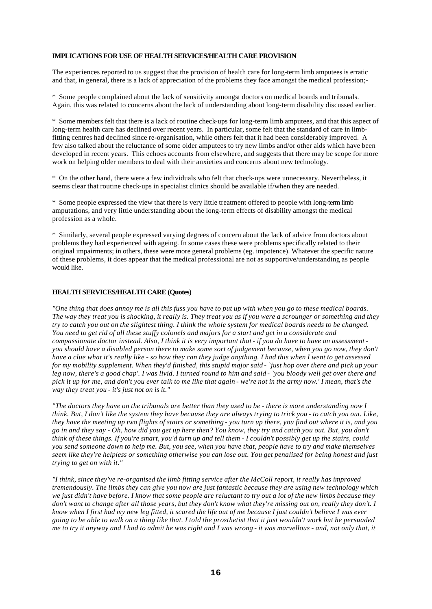#### **IMPLICATIONS FOR USE OF HEALTH SERVICES/HEALTH CARE PROVISION**

The experiences reported to us suggest that the provision of health care for long-term limb amputees is erratic and that, in general, there is a lack of appreciation of the problems they face amongst the medical profession;-

\* Some people complained about the lack of sensitivity amongst doctors on medical boards and tribunals. Again, this was related to concerns about the lack of understanding about long-term disability discussed earlier.

\* Some members felt that there is a lack of routine check-ups for long-term limb amputees, and that this aspect of long-term health care has declined over recent years. In particular, some felt that the standard of care in limbfitting centres had declined since re-organisation, while others felt that it had been considerably improved. A few also talked about the reluctance of some older amputees to try new limbs and/or other aids which have been developed in recent years. This echoes accounts from elsewhere, and suggests that there may be scope for more work on helping older members to deal with their anxieties and concerns about new technology.

\* On the other hand, there were a few individuals who felt that check-ups were unnecessary. Nevertheless, it seems clear that routine check-ups in specialist clinics should be available if/when they are needed.

\* Some people expressed the view that there is very little treatment offered to people with long-term limb amputations, and very little understanding about the long-term effects of disability amongst the medical profession as a whole.

\* Similarly, several people expressed varying degrees of concern about the lack of advice from doctors about problems they had experienced with ageing. In some cases these were problems specifically related to their original impairments; in others, these were more general problems (eg. impotence). Whatever the specific nature of these problems, it does appear that the medical professional are not as supportive/understanding as people would like.

#### **HEALTH SERVICES/HEALTH CARE (Quotes)**

*"One thing that does annoy me is all this fuss you have to put up with when you go to these medical boards. The way they treat you is shocking, it really is. They treat you as if you were a scrounger or something and they try to catch you out on the slightest thing. I think the whole system for medical boards needs to be changed. You need to get rid of all these stuffy colonels and majors for a start and get in a considerate and compassionate doctor instead. Also, I think it is very important that - if you do have to have an assessment you should have a disabled person there to make some sort of judgement because, when you go now, they don't have a clue what it's really like - so how they can they judge anything. I had this when I went to get assessed for my mobility supplement. When they'd finished, this stupid major said - `just hop over there and pick up your leg now, there's a good chap'. I was livid. I turned round to him and said - `you bloody well get over there and pick it up for me, and don't you ever talk to me like that again - we're not in the army now.' I mean, that's the way they treat you - it's just not on is it."* 

*"The doctors they have on the tribunals are better than they used to be - there is more understanding now I think. But, I don't like the system they have because they are always trying to trick you - to catch you out. Like, they have the meeting up two flights of stairs or something - you turn up there, you find out where it is, and you go in and they say - Oh, how did you get up here then? You know, they try and catch you out. But, you don't think of these things. If you're smart, you'd turn up and tell them - I couldn't possibly get up the stairs, could you send someone down to help me. But, you see, when you have that, people have to try and make themselves seem like they're helpless or something otherwise you can lose out. You get penalised for being honest and just trying to get on with it."* 

*"I think, since they've re-organised the limb fitting service after the McColl report, it really has improved tremendously. The limbs they can give you now are just fantastic because they are using new technology which we just didn't have before. I know that some people are reluctant to try out a lot of the new limbs because they don't want to change after all those years, but they don't know what they're missing out on, really they don't. I know when I first had my new leg fitted, it scared the life out of me because I just couldn't believe I was ever going to be able to walk on a thing like that. I told the prosthetist that it just wouldn't work but he persuaded me to try it anyway and I had to admit he was right and I was wrong - it was marvellous - and, not only that, it*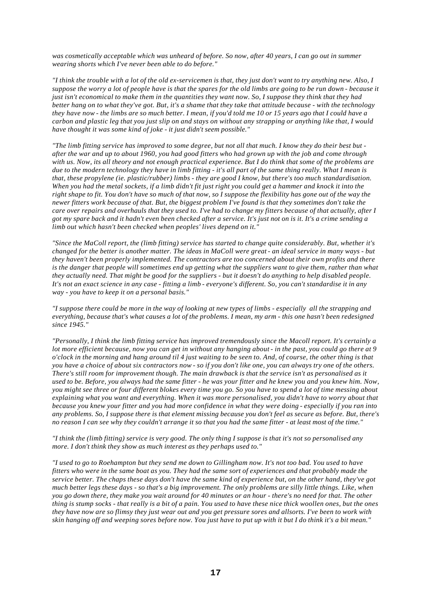*was cosmetically acceptable which was unheard of before. So now, after 40 years, I can go out in summer wearing shorts which I've never been able to do before."* 

*"I think the trouble with a lot of the old ex-servicemen is that, they just don't want to try anything new. Also, I suppose the worry a lot of people have is that the spares for the old limbs are going to be run down - because it just isn't economical to make them in the quantities they want now. So, I suppose they think that they had better hang on to what they've got. But, it's a shame that they take that attitude because - with the technology they have now - the limbs are so much better. I mean, if you'd told me 10 or 15 years ago that I could have a carbon and plastic leg that you just slip on and stays on without any strapping or anything like that, I would have thought it was some kind of joke - it just didn't seem possible."* 

*"The limb fitting service has improved to some degree, but not all that much. I know they do their best but after the war and up to about 1960, you had good fitters who had grown up with the job and come through with us. Now, its all theory and not enough practical experience. But I do think that some of the problems are due to the modern technology they have in limb fitting - it's all part of the same thing really. What I mean is that, these propylene (ie. plastic/rubber) limbs - they are good I know, but there's too much standardisation. When you had the metal sockets, if a limb didn't fit just right you could get a hammer and knock it into the right shape to fit. You don't have so much of that now, so I suppose the flexibility has gone out of the way the newer fitters work because of that. But, the biggest problem I've found is that they sometimes don't take the care over repairs and overhauls that they used to. I've had to change my fitters because of that actually, after I got my spare back and it hadn't even been checked after a service. It's just not on is it. It's a crime sending a limb out which hasn't been checked when peoples' lives depend on it."* 

*"Since the MaColl report, the (limb fitting) service has started to change quite considerably. But, whether it's changed for the better is another matter. The ideas in MaColl were great - an ideal service in many ways - but they haven't been properly implemented. The contractors are too concerned about their own profits and there is the danger that people will sometimes end up getting what the suppliers want to give them, rather than what they actually need. That might be good for the suppliers - but it doesn't do anything to help disabled people. It's not an exact science in any case - fitting a limb - everyone's different. So, you can't standardise it in any way - you have to keep it on a personal basis."* 

*"I suppose there could be more in the way of looking at new types of limbs - especially all the strapping and everything, because that's what causes a lot of the problems. I mean, my arm - this one hasn't been redesigned since 1945."* 

*"Personally, I think the limb fitting service has improved tremendously since the Macoll report. It's certainly a lot more efficient because, now you can get in without any hanging about - in the past, you could go there at 9 o'clock in the morning and hang around til 4 just waiting to be seen to. And, of course, the other thing is that you have a choice of about six contractors now - so if you don't like one, you can always try one of the others. There's still room for improvement though. The main drawback is that the service isn't as personalised as it used to be. Before, you always had the same fitter - he was your fitter and he knew you and you knew him. Now, you might see three or four different blokes every time you go. So you have to spend a lot of time messing about explaining what you want and everything. When it was more personalised, you didn't have to worry about that because you knew your fitter and you had more confidence in what they were doing - especially if you ran into any problems. So, I suppose there is that element missing because you don't feel as secure as before. But, there's no reason I can see why they couldn't arrange it so that you had the same fitter - at least most of the time."* 

*"I think the (limb fitting) service is very good. The only thing I suppose is that it's not so personalised any more. I don't think they show as much interest as they perhaps used to."* 

*"I used to go to Roehampton but they send me down to Gillingham now. It's not too bad. You used to have fitters who were in the same boat as you. They had the same sort of experiences and that probably made the service better. The chaps these days don't have the same kind of experience but, on the other hand, they've got much better legs these days - so that's a big improvement. The only problems are silly little things. Like, when you go down there, they make you wait around for 40 minutes or an hour - there's no need for that. The other thing is stump socks - that really is a bit of a pain. You used to have these nice thick woollen ones, but the ones they have now are so flimsy they just wear out and you get pressure sores and allsorts. I've been to work with skin hanging off and weeping sores before now. You just have to put up with it but I do think it's a bit mean."*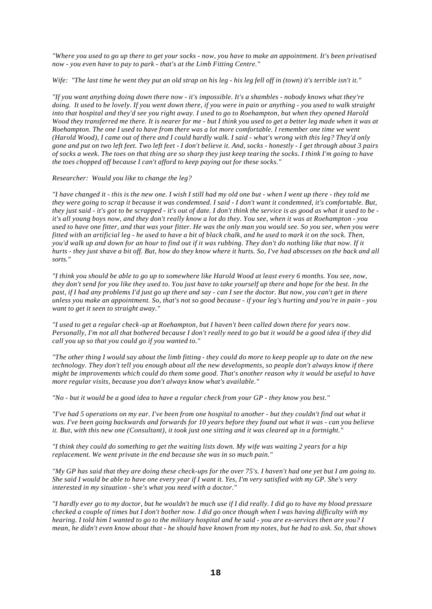*"Where you used to go up there to get your socks - now, you have to make an appointment. It's been privatised now - you even have to pay to park - that's at the Limb Fitting Centre."* 

#### *Wife: "The last time he went they put an old strap on his leg - his leg fell off in (town) it's terrible isn't it."*

*"If you want anything doing down there now - it's impossible. It's a shambles - nobody knows what they're doing. It used to be lovely. If you went down there, if you were in pain or anything - you used to walk straight into that hospital and they'd see you right away. I used to go to Roehampton, but when they opened Harold Wood they transferred me there. It is nearer for me - but I think you used to get a better leg made when it was at Roehampton. The one I used to have from there was a lot more comfortable. I remember one time we went (Harold Wood), I came out of there and I could hardly walk. I said - what's wrong with this leg? They'd only gone and put on two left feet. Two left feet - I don't believe it. And, socks - honestly - I get through about 3 pairs of socks a week. The toes on that thing are so sharp they just keep tearing the socks. I think I'm going to have the toes chopped off because I can't afford to keep paying out for these socks."* 

#### *Researcher: Would you like to change the leg?*

*"I have changed it - this is the new one. I wish I still had my old one but - when I went up there - they told me they were going to scrap it because it was condemned. I said - I don't want it condemned, it's comfortable. But, they just said - it's got to be scrapped - it's out of date. I don't think the service is as good as what it used to be it's all young boys now, and they don't really know a lot do they. You see, when it was at Roehampton - you used to have one fitter, and that was your fitter. He was the only man you would see. So you see, when you were fitted with an artificial leg - he used to have a bit of black chalk, and he used to mark it on the sock. Then, you'd walk up and down for an hour to find out if it was rubbing. They don't do nothing like that now. If it hurts - they just shave a bit off. But, how do they know where it hurts. So, I've had abscesses on the back and all sorts."* 

*"I think you should be able to go up to somewhere like Harold Wood at least every 6 months. You see, now, they don't send for you like they used to. You just have to take yourself up there and hope for the best. In the past, if I had any problems I'd just go up there and say - can I see the doctor. But now, you can't get in there unless you make an appointment. So, that's not so good because - if your leg's hurting and you're in pain - you want to get it seen to straight away."* 

*"I used to get a regular check-up at Roehampton, but I haven't been called down there for years now. Personally, I'm not all that bothered because I don't really need to go but it would be a good idea if they did call you up so that you could go if you wanted to."* 

*"The other thing I would say about the limb fitting - they could do more to keep people up to date on the new technology. They don't tell you enough about all the new developments, so people don't always know if there might be improvements which could do them some good. That's another reason why it would be useful to have more regular visits, because you don't always know what's available."* 

*"No - but it would be a good idea to have a regular check from your GP - they know you best."* 

*"I've had 5 operations on my ear. I've been from one hospital to another - but they couldn't find out what it was. I've been going backwards and forwards for 10 years before they found out what it was - can you believe it. But, with this new one (Consultant), it took just one sitting and it was cleared up in a fortnight."* 

*"I think they could do something to get the waiting lists down. My wife was waiting 2 years for a hip replacement. We went private in the end because she was in so much pain."* 

*"My GP has said that they are doing these check-ups for the over 75's. I haven't had one yet but I am going to. She said I would be able to have one every year if I want it. Yes, I'm very satisfied with my GP. She's very interested in my situation - she's what you need with a doctor."* 

*"I hardly ever go to my doctor, but he wouldn't be much use if I did really. I did go to have my blood pressure checked a couple of times but I don't bother now. I did go once though when I was having difficulty with my hearing. I told him I wanted to go to the military hospital and he said - you are ex-services then are you? I mean, he didn't even know about that - he should have known from my notes, but he had to ask. So, that shows*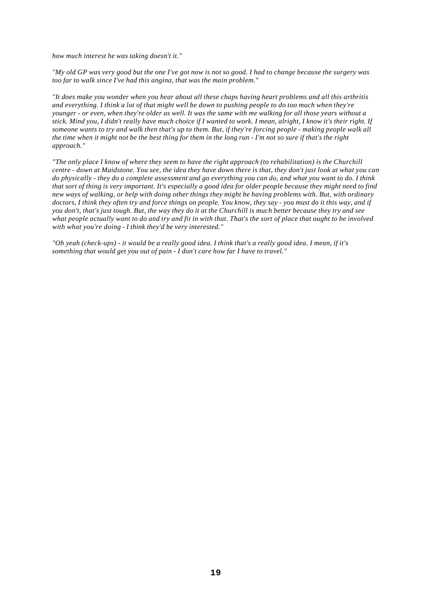*how much interest he was taking doesn't it."* 

*"My old GP was very good but the one I've got now is not so good. I had to change because the surgery was too far to walk since I've had this angina, that was the main problem."* 

*"It does make you wonder when you hear about all these chaps having heart problems and all this arthritis and everything. I think a lot of that might well be down to pushing people to do too much when they're younger - or even, when they're older as well. It was the same with me walking for all those years without a stick. Mind you, I didn't really have much choice if I wanted to work. I mean, alright, I know it's their right. If someone wants to try and walk then that's up to them. But, if they're forcing people - making people walk all the time when it might not be the best thing for them in the long run - I'm not so sure if that's the right approach."* 

*"The only place I know of where they seem to have the right approach (to rehabilitation) is the Churchill centre - down at Maidstone. You see, the idea they have down there is that, they don't just look at what you can do physically - they do a complete assessment and go everything you can do, and what you want to do. I think that sort of thing is very important. It's especially a good idea for older people because they might need to find new ways of walking, or help with doing other things they might be having problems with. But, with ordinary*  doctors, I think they often try and force things on people. You know, they say - you must do it this way, and if *you don't, that's just tough. But, the way they do it at the Churchill is much better because they try and see what people actually want to do and try and fit in with that. That's the sort of place that ought to be involved with what you're doing - I think they'd be very interested."* 

*"Oh yeah (check-ups) - it would be a really good idea. I think that's a really good idea. I mean, if it's something that would get you out of pain - I don't care how far I have to travel."*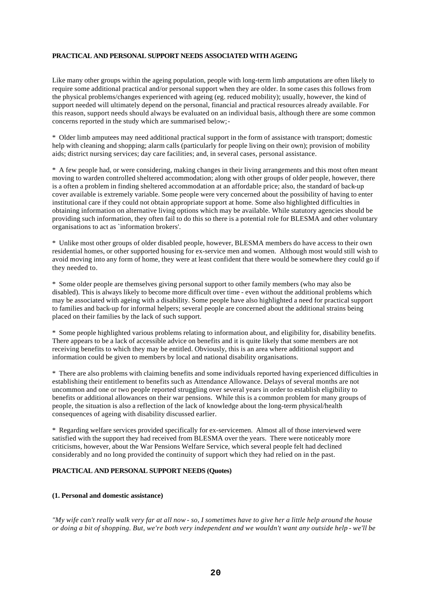#### **PRACTICAL AND PERSONAL SUPPORT NEEDS ASSOCIATED WITH AGEING**

Like many other groups within the ageing population, people with long-term limb amputations are often likely to require some additional practical and/or personal support when they are older. In some cases this follows from the physical problems/changes experienced with ageing (eg. reduced mobility); usually, however, the kind of support needed will ultimately depend on the personal, financial and practical resources already available. For this reason, support needs should always be evaluated on an individual basis, although there are some common concerns reported in the study which are summarised below;-

\* Older limb amputees may need additional practical support in the form of assistance with transport; domestic help with cleaning and shopping; alarm calls (particularly for people living on their own); provision of mobility aids; district nursing services; day care facilities; and, in several cases, personal assistance.

\* A few people had, or were considering, making changes in their living arrangements and this most often meant moving to warden controlled sheltered accommodation; along with other groups of older people, however, there is a often a problem in finding sheltered accommodation at an affordable price; also, the standard of back-up cover available is extremely variable. Some people were very concerned about the possibility of having to enter institutional care if they could not obtain appropriate support at home. Some also highlighted difficulties in obtaining information on alternative living options which may be available. While statutory agencies should be providing such information, they often fail to do this so there is a potential role for BLESMA and other voluntary organisations to act as `information brokers'.

\* Unlike most other groups of older disabled people, however, BLESMA members do have access to their own residential homes, or other supported housing for ex-service men and women. Although most would still wish to avoid moving into any form of home, they were at least confident that there would be somewhere they could go if they needed to.

\* Some older people are themselves giving personal support to other family members (who may also be disabled). This is always likely to become more difficult over time - even without the additional problems which may be associated with ageing with a disability. Some people have also highlighted a need for practical support to families and back-up for informal helpers; several people are concerned about the additional strains being placed on their families by the lack of such support.

\* Some people highlighted various problems relating to information about, and eligibility for, disability benefits. There appears to be a lack of accessible advice on benefits and it is quite likely that some members are not receiving benefits to which they may be entitled. Obviously, this is an area where additional support and information could be given to members by local and national disability organisations.

\* There are also problems with claiming benefits and some individuals reported having experienced difficulties in establishing their entitlement to benefits such as Attendance Allowance. Delays of several months are not uncommon and one or two people reported struggling over several years in order to establish eligibility to benefits or additional allowances on their war pensions. While this is a common problem for many groups of people, the situation is also a reflection of the lack of knowledge about the long-term physical/health consequences of ageing with disability discussed earlier.

\* Regarding welfare services provided specifically for ex-servicemen. Almost all of those interviewed were satisfied with the support they had received from BLESMA over the years. There were noticeably more criticisms, however, about the War Pensions Welfare Service, which several people felt had declined considerably and no long provided the continuity of support which they had relied on in the past.

#### **PRACTICAL AND PERSONAL SUPPORT NEEDS (Quotes)**

#### **(1. Personal and domestic assistance)**

*"My wife can't really walk very far at all now - so, I sometimes have to give her a little help around the house or doing a bit of shopping. But, we're both very independent and we wouldn't want any outside help - we'll be*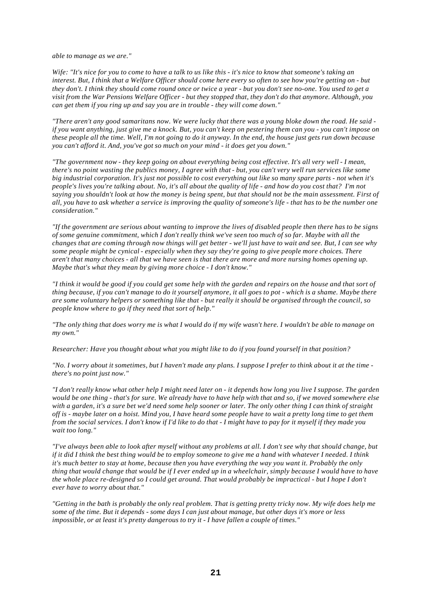*able to manage as we are."* 

*Wife: "It's nice for you to come to have a talk to us like this - it's nice to know that someone's taking an interest. But, I think that a Welfare Officer should come here every so often to see how you're getting on - but they don't. I think they should come round once or twice a year - but you don't see no-one. You used to get a visit from the War Pensions Welfare Officer - but they stopped that, they don't do that anymore. Although, you can get them if you ring up and say you are in trouble - they will come down."* 

*"There aren't any good samaritans now. We were lucky that there was a young bloke down the road. He said if you want anything, just give me a knock. But, you can't keep on pestering them can you - you can't impose on these people all the time. Well, I'm not going to do it anyway. In the end, the house just gets run down because you can't afford it. And, you've got so much on your mind - it does get you down."* 

*"The government now - they keep going on about everything being cost effective. It's all very well - I mean, there's no point wasting the publics money, I agree with that - but, you can't very well run services like some big industrial corporation. It's just not possible to cost everything out like so many spare parts - not when it's people's lives you're talking about. No, it's all about the quality of life - and how do you cost that? I'm not saying you shouldn't look at how the money is being spent, but that should not be the main assessment. First of all, you have to ask whether a service is improving the quality of someone's life - that has to be the number one consideration."* 

*"If the government are serious about wanting to improve the lives of disabled people then there has to be signs of some genuine commitment, which I don't really think we've seen too much of so far. Maybe with all the changes that are coming through now things will get better - we'll just have to wait and see. But, I can see why some people might be cynical - especially when they say they're going to give people more choices. There aren't that many choices - all that we have seen is that there are more and more nursing homes opening up. Maybe that's what they mean by giving more choice - I don't know."* 

*"I think it would be good if you could get some help with the garden and repairs on the house and that sort of thing because, if you can't manage to do it yourself anymore, it all goes to pot - which is a shame. Maybe there are some voluntary helpers or something like that - but really it should be organised through the council, so people know where to go if they need that sort of help."* 

*"The only thing that does worry me is what I would do if my wife wasn't here. I wouldn't be able to manage on my own."* 

*Researcher: Have you thought about what you might like to do if you found yourself in that position?* 

*"No. I worry about it sometimes, but I haven't made any plans. I suppose I prefer to think about it at the time there's no point just now."* 

*"I don't really know what other help I might need later on - it depends how long you live I suppose. The garden would be one thing - that's for sure. We already have to have help with that and so, if we moved somewhere else with a garden, it's a sure bet we'd need some help sooner or later. The only other thing I can think of straight off is - maybe later on a hoist. Mind you, I have heard some people have to wait a pretty long time to get them from the social services. I don't know if I'd like to do that - I might have to pay for it myself if they made you wait too long."* 

*"I've always been able to look after myself without any problems at all. I don't see why that should change, but if it did I think the best thing would be to employ someone to give me a hand with whatever I needed. I think it's much better to stay at home, because then you have everything the way you want it. Probably the only thing that would change that would be if I ever ended up in a wheelchair, simply because I would have to have the whole place re-designed so I could get around. That would probably be impractical - but I hope I don't ever have to worry about that."* 

*"Getting in the bath is probably the only real problem. That is getting pretty tricky now. My wife does help me some of the time. But it depends - some days I can just about manage, but other days it's more or less impossible, or at least it's pretty dangerous to try it - I have fallen a couple of times."*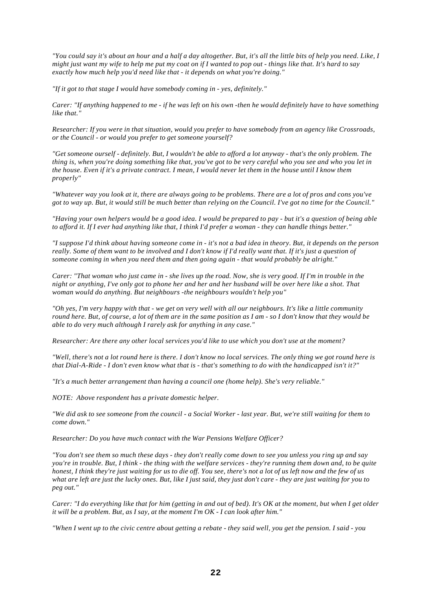*"You could say it's about an hour and a half a day altogether. But, it's all the little bits of help you need. Like, I might just want my wife to help me put my coat on if I wanted to pop out - things like that. It's hard to say exactly how much help you'd need like that - it depends on what you're doing."* 

*"If it got to that stage I would have somebody coming in - yes, definitely."* 

*Carer: "If anything happened to me - if he was left on his own -then he would definitely have to have something like that."* 

*Researcher: If you were in that situation, would you prefer to have somebody from an agency like Crossroads, or the Council - or would you prefer to get someone yourself?* 

*"Get someone ourself - definitely. But, I wouldn't be able to afford a lot anyway - that's the only problem. The thing is, when you're doing something like that, you've got to be very careful who you see and who you let in the house. Even if it's a private contract. I mean, I would never let them in the house until I know them properly"* 

*"Whatever way you look at it, there are always going to be problems. There are a lot of pros and cons you've got to way up. But, it would still be much better than relying on the Council. I've got no time for the Council."* 

*"Having your own helpers would be a good idea. I would be prepared to pay - but it's a question of being able to afford it. If I ever had anything like that, I think I'd prefer a woman - they can handle things better."* 

*"I suppose I'd think about having someone come in - it's not a bad idea in theory. But, it depends on the person*  really. Some of them want to be involved and I don't know if I'd really want that. If it's just a question of *someone coming in when you need them and then going again - that would probably be alright."* 

*Carer: "That woman who just came in - she lives up the road. Now, she is very good. If I'm in trouble in the night or anything, I've only got to phone her and her and her husband will be over here like a shot. That woman would do anything. But neighbours -the neighbours wouldn't help you"* 

*"Oh yes, I'm very happy with that - we get on very well with all our neighbours. It's like a little community round here. But, of course, a lot of them are in the same position as I am - so I don't know that they would be able to do very much although I rarely ask for anything in any case."* 

*Researcher: Are there any other local services you'd like to use which you don't use at the moment?* 

*"Well, there's not a lot round here is there. I don't know no local services. The only thing we got round here is that Dial-A-Ride - I don't even know what that is - that's something to do with the handicapped isn't it?"* 

*"It's a much better arrangement than having a council one (home help). She's very reliable."* 

*NOTE: Above respondent has a private domestic helper.* 

*"We did ask to see someone from the council - a Social Worker - last year. But, we're still waiting for them to come down."* 

*Researcher: Do you have much contact with the War Pensions Welfare Officer?* 

*"You don't see them so much these days - they don't really come down to see you unless you ring up and say you're in trouble. But, I think - the thing with the welfare services - they're running them down and, to be quite honest, I think they're just waiting for us to die off. You see, there's not a lot of us left now and the few of us what are left are just the lucky ones. But, like I just said, they just don't care - they are just waiting for you to peg out."* 

*Carer: "I do everything like that for him (getting in and out of bed). It's OK at the moment, but when I get older it will be a problem. But, as I say, at the moment I'm OK - I can look after him."* 

*"When I went up to the civic centre about getting a rebate - they said well, you get the pension. I said - you*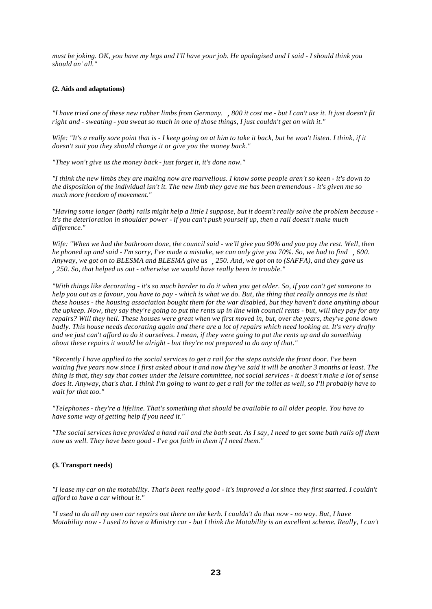*must be joking. OK, you have my legs and I'll have your job. He apologised and I said - I should think you should an' all."* 

#### **(2. Aids and adaptations)**

*"I have tried one of these new rubber limbs from Germany. ,800 it cost me - but I can't use it. It just doesn't fit right and - sweating - you sweat so much in one of those things, I just couldn't get on with it."* 

*Wife: "It's a really sore point that is - I keep going on at him to take it back, but he won't listen. I think, if it doesn't suit you they should change it or give you the money back."* 

*"They won't give us the money back - just forget it, it's done now."* 

*"I think the new limbs they are making now are marvellous. I know some people aren't so keen - it's down to the disposition of the individual isn't it. The new limb they gave me has been tremendous - it's given me so much more freedom of movement."* 

*"Having some longer (bath) rails might help a little I suppose, but it doesn't really solve the problem because it's the deterioration in shoulder power - if you can't push yourself up, then a rail doesn't make much difference."* 

*Wife: "When we had the bathroom done, the council said - we'll give you 90% and you pay the rest. Well, then he phoned up and said - I'm sorry, I've made a mistake, we can only give you 70%. So, we had to find ,600. Anyway, we got on to BLESMA and BLESMA give us ,250. And, we got on to (SAFFA), and they gave us ,250. So, that helped us out - otherwise we would have really been in trouble."* 

*"With things like decorating - it's so much harder to do it when you get older. So, if you can't get someone to help you out as a favour, you have to pay - which is what we do. But, the thing that really annoys me is that these houses - the housing association bought them for the war disabled, but they haven't done anything about the upkeep. Now, they say they're going to put the rents up in line with council rents - but, will they pay for any repairs? Will they hell. These houses were great when we first moved in, but, over the years, they've gone down badly. This house needs decorating again and there are a lot of repairs which need looking at. It's very drafty and we just can't afford to do it ourselves. I mean, if they were going to put the rents up and do something about these repairs it would be alright - but they're not prepared to do any of that."* 

*"Recently I have applied to the social services to get a rail for the steps outside the front door. I've been waiting five years now since I first asked about it and now they've said it will be another 3 months at least. The thing is that, they say that comes under the leisure committee, not social services - it doesn't make a lot of sense does it. Anyway, that's that. I think I'm going to want to get a rail for the toilet as well, so I'll probably have to wait for that too."* 

*"Telephones - they're a lifeline. That's something that should be available to all older people. You have to have some way of getting help if you need it."* 

*"The social services have provided a hand rail and the bath seat. As I say, I need to get some bath rails off them now as well. They have been good - I've got faith in them if I need them."* 

#### **(3. Transport needs)**

*"I lease my car on the motability. That's been really good - it's improved a lot since they first started. I couldn't afford to have a car without it."* 

*"I used to do all my own car repairs out there on the kerb. I couldn't do that now - no way. But, I have Motability now - I used to have a Ministry car - but I think the Motability is an excellent scheme. Really, I can't*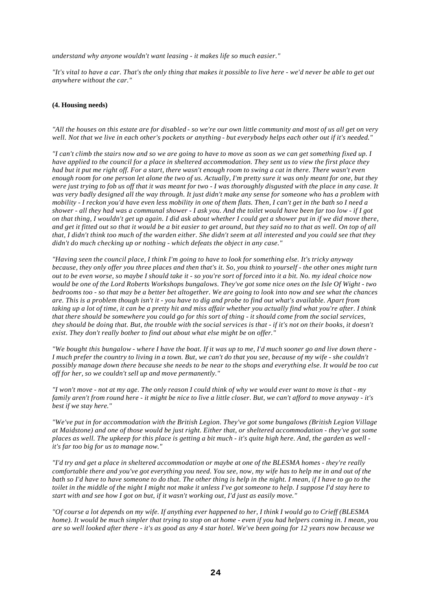*understand why anyone wouldn't want leasing - it makes life so much easier."* 

*"It's vital to have a car. That's the only thing that makes it possible to live here - we'd never be able to get out anywhere without the car."* 

#### **(4. Housing needs)**

*"All the houses on this estate are for disabled - so we're our own little community and most of us all get on very well. Not that we live in each other's pockets or anything - but everybody helps each other out if it's needed."* 

*"I can't climb the stairs now and so we are going to have to move as soon as we can get something fixed up. I have applied to the council for a place in sheltered accommodation. They sent us to view the first place they had but it put me right off. For a start, there wasn't enough room to swing a cat in there. There wasn't even enough room for one person let alone the two of us. Actually, I'm pretty sure it was only meant for one, but they were just trying to fob us off that it was meant for two - I was thoroughly disgusted with the place in any case. It was very badly designed all the way through. It just didn't make any sense for someone who has a problem with mobility - I reckon you'd have even less mobility in one of them flats. Then, I can't get in the bath so I need a shower - all they had was a communal shower - I ask you. And the toilet would have been far too low - if I got on that thing, I wouldn't get up again. I did ask about whether I could get a shower put in if we did move there, and get it fitted out so that it would be a bit easier to get around, but they said no to that as well. On top of all that, I didn't think too much of the warden either. She didn't seem at all interested and you could see that they didn't do much checking up or nothing - which defeats the object in any case."* 

*"Having seen the council place, I think I'm going to have to look for something else. It's tricky anyway because, they only offer you three places and then that's it. So, you think to yourself - the other ones might turn out to be even worse, so maybe I should take it - so you're sort of forced into it a bit. No. my ideal choice now would be one of the Lord Roberts Workshops bungalows. They've got some nice ones on the Isle Of Wight - two bedrooms too - so that may be a better bet altogether. We are going to look into now and see what the chances are. This is a problem though isn't it - you have to dig and probe to find out what's available. Apart from taking up a lot of time, it can be a pretty hit and miss affair whether you actually find what you're after. I think that there should be somewhere you could go for this sort of thing - it should come from the social services, they should be doing that. But, the trouble with the social services is that - if it's not on their books, it doesn't exist. They don't really bother to find out about what else might be on offer."* 

*"We bought this bungalow - where I have the boat. If it was up to me, I'd much sooner go and live down there - I much prefer the country to living in a town. But, we can't do that you see, because of my wife - she couldn't possibly manage down there because she needs to be near to the shops and everything else. It would be too cut off for her, so we couldn't sell up and move permanently."* 

*"I won't move - not at my age. The only reason I could think of why we would ever want to move is that - my family aren't from round here - it might be nice to live a little closer. But, we can't afford to move anyway - it's best if we stay here."* 

*"We've put in for accommodation with the British Legion. They've got some bungalows (British Legion Village at Maidstone) and one of those would be just right. Either that, or sheltered accommodation - they've got some places as well. The upkeep for this place is getting a bit much - it's quite high here. And, the garden as well it's far too big for us to manage now."* 

*"I'd try and get a place in sheltered accommodation or maybe at one of the BLESMA homes - they're really comfortable there and you've got everything you need. You see, now, my wife has to help me in and out of the bath so I'd have to have someone to do that. The other thing is help in the night. I mean, if I have to go to the toilet in the middle of the night I might not make it unless I've got someone to help. I suppose I'd stay here to start with and see how I got on but, if it wasn't working out, I'd just as easily move."* 

*"Of course a lot depends on my wife. If anything ever happened to her, I think I would go to Crieff (BLESMA home). It would be much simpler that trying to stop on at home - even if you had helpers coming in. I mean, you are so well looked after there - it's as good as any 4 star hotel. We've been going for 12 years now because we*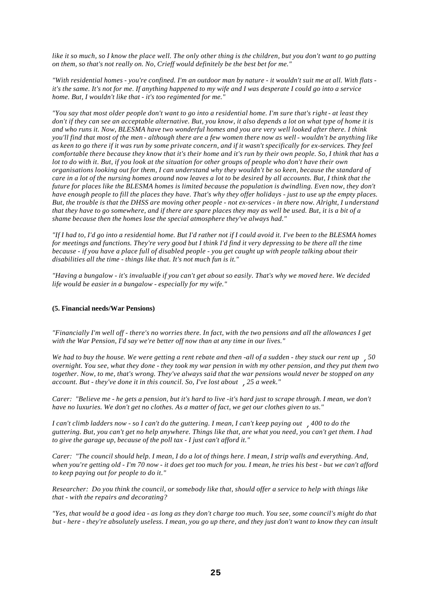like it so much, so I know the place well. The only other thing is the children, but you don't want to go putting *on them, so that's not really on. No, Crieff would definitely be the best bet for me."* 

*"With residential homes - you're confined. I'm an outdoor man by nature - it wouldn't suit me at all. With flats it's the same. It's not for me. If anything happened to my wife and I was desperate I could go into a service home. But, I wouldn't like that - it's too regimented for me."* 

*"You say that most older people don't want to go into a residential home. I'm sure that's right - at least they don't if they can see an acceptable alternative. But, you know, it also depends a lot on what type of home it is and who runs it. Now, BLESMA have two wonderful homes and you are very well looked after there. I think you'll find that most of the men - although there are a few women there now as well - wouldn't be anything like as keen to go there if it was run by some private concern, and if it wasn't specifically for ex-services. They feel comfortable there because they know that it's their home and it's run by their own people. So, I think that has a lot to do with it. But, if you look at the situation for other groups of people who don't have their own organisations looking out for them, I can understand why they wouldn't be so keen, because the standard of care in a lot of the nursing homes around now leaves a lot to be desired by all accounts. But, I think that the future for places like the BLESMA homes is limited because the population is dwindling. Even now, they don't have enough people to fill the places they have. That's why they offer holidays - just to use up the empty places. But, the trouble is that the DHSS are moving other people - not ex-services - in there now. Alright, I understand that they have to go somewhere, and if there are spare places they may as well be used. But, it is a bit of a shame because then the homes lose the special atmosphere they've always had."* 

*"If I had to, I'd go into a residential home. But I'd rather not if I could avoid it. I've been to the BLESMA homes for meetings and functions. They're very good but I think I'd find it very depressing to be there all the time because - if you have a place full of disabled people - you get caught up with people talking about their disabilities all the time - things like that. It's not much fun is it."* 

*"Having a bungalow - it's invaluable if you can't get about so easily. That's why we moved here. We decided life would be easier in a bungalow - especially for my wife."* 

#### **(5. Financial needs/War Pensions)**

*"Financially I'm well off - there's no worries there. In fact, with the two pensions and all the allowances I get with the War Pension, I'd say we're better off now than at any time in our lives."* 

*We had to buy the house. We were getting a rent rebate and then -all of a sudden - they stuck our rent up ,50 overnight. You see, what they done - they took my war pension in with my other pension, and they put them two together. Now, to me, that's wrong. They've always said that the war pensions would never be stopped on any account. But - they've done it in this council. So, I've lost about ,25 a week."* 

*Carer: "Believe me - he gets a pension, but it's hard to live -it's hard just to scrape through. I mean, we don't have no luxuries. We don't get no clothes. As a matter of fact, we get our clothes given to us."* 

*I can't climb ladders now - so I can't do the guttering. I mean, I can't keep paying out ,400 to do the guttering. But, you can't get no help anywhere. Things like that, are what you need, you can't get them. I had to give the garage up, because of the poll tax - I just can't afford it."* 

*Carer: "The council should help. I mean, I do a lot of things here. I mean, I strip walls and everything. And, when you're getting old - I'm 70 now - it does get too much for you. I mean, he tries his best - but we can't afford to keep paying out for people to do it."* 

*Researcher: Do you think the council, or somebody like that, should offer a service to help with things like that - with the repairs and decorating?* 

*"Yes, that would be a good idea - as long as they don't charge too much. You see, some council's might do that but - here - they're absolutely useless. I mean, you go up there, and they just don't want to know they can insult*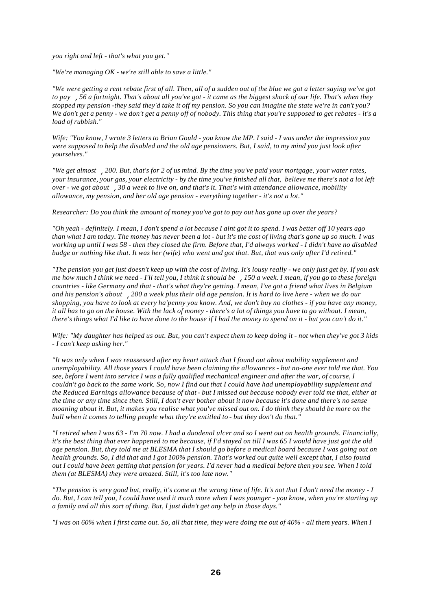*you right and left - that's what you get."* 

*"We're managing OK - we're still able to save a little."* 

*"We were getting a rent rebate first of all. Then, all of a sudden out of the blue we got a letter saying we've got to pay ,56 a fortnight. That's about all you've got - it came as the biggest shock of our life. That's when they stopped my pension -they said they'd take it off my pension. So you can imagine the state we're in can't you? We don't get a penny - we don't get a penny off of nobody. This thing that you're supposed to get rebates - it's a load of rubbish."* 

*Wife: "You know, I wrote 3 letters to Brian Gould - you know the MP. I said - I was under the impression you were supposed to help the disabled and the old age pensioners. But, I said, to my mind you just look after yourselves."* 

*"We get almost ,200. But, that's for 2 of us mind. By the time you've paid your mortgage, your water rates, your insurance, your gas, your electricity - by the time you've finished all that, believe me there's not a lot left over - we got about ,30 a week to live on, and that's it. That's with attendance allowance, mobility allowance, my pension, and her old age pension - everything together - it's not a lot."* 

*Researcher: Do you think the amount of money you've got to pay out has gone up over the years?* 

*"Oh yeah - definitely. I mean, I don't spend a lot because I aint got it to spend. I was better off 10 years ago than what I am today. The money has never been a lot - but it's the cost of living that's gone up so much. I was working up until I was 58 - then they closed the firm. Before that, I'd always worked - I didn't have no disabled badge or nothing like that. It was her (wife) who went and got that. But, that was only after I'd retired."* 

*"The pension you get just doesn't keep up with the cost of living. It's lousy really - we only just get by. If you ask me how much I think we need - I'll tell you, I think it should be ,150 a week. I mean, if you go to these foreign countries - like Germany and that - that's what they're getting. I mean, I've got a friend what lives in Belgium and his pension's about ,200 a week plus their old age pension. It is hard to live here - when we do our shopping, you have to look at every ha'penny you know. And, we don't buy no clothes - if you have any money, it all has to go on the house. With the lack of money - there's a lot of things you have to go without. I mean, there's things what I'd like to have done to the house if I had the money to spend on it - but you can't do it."* 

*Wife: "My daughter has helped us out. But, you can't expect them to keep doing it - not when they've got 3 kids - I can't keep asking her."* 

*"It was only when I was reassessed after my heart attack that I found out about mobility supplement and unemployability. All those years I could have been claiming the allowances - but no-one ever told me that. You see, before I went into service I was a fully qualified mechanical engineer and after the war, of course, I couldn't go back to the same work. So, now I find out that I could have had unemployability supplement and the Reduced Earnings allowance because of that - but I missed out because nobody ever told me that, either at the time or any time since then. Still, I don't ever bother about it now because it's done and there's no sense moaning about it. But, it makes you realise what you've missed out on. I do think they should be more on the ball when it comes to telling people what they're entitled to - but they don't do that."* 

*"I retired when I was 63 - I'm 70 now. I had a duodenal ulcer and so I went out on health grounds. Financially, it's the best thing that ever happened to me because, if I'd stayed on till I was 65 I would have just got the old age pension. But, they told me at BLESMA that I should go before a medical board because I was going out on health grounds. So, I did that and I got 100% pension. That's worked out quite well except that, I also found out I could have been getting that pension for years. I'd never had a medical before then you see. When I told them (at BLESMA) they were amazed. Still, it's too late now."* 

*"The pension is very good but, really, it's come at the wrong time of life. It's not that I don't need the money - I*  do. But, I can tell you, I could have used it much more when I was younger - you know, when you're starting up *a family and all this sort of thing. But, I just didn't get any help in those days."* 

*"I was on 60% when I first came out. So, all that time, they were doing me out of 40% - all them years. When I*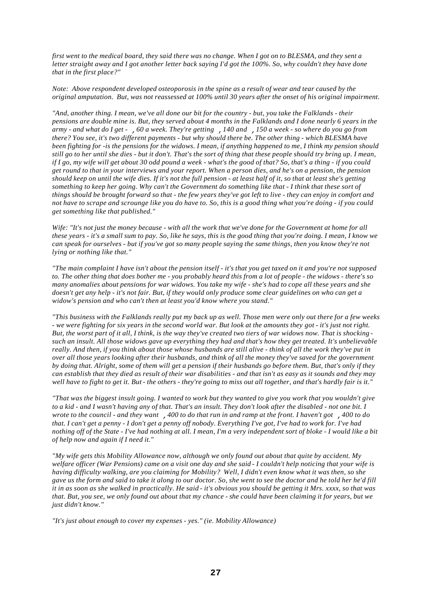*first went to the medical board, they said there was no change. When I got on to BLESMA, and they sent a letter straight away and I got another letter back saying I'd got the 100%. So, why couldn't they have done that in the first place?"* 

*Note: Above respondent developed osteoporosis in the spine as a result of wear and tear caused by the original amputation. But, was not reassessed at 100% until 30 years after the onset of his original impairment.* 

*"And, another thing. I mean, we've all done our bit for the country - but, you take the Falklands - their pensions are double mine is. But, they served about 4 months in the Falklands and I done nearly 6 years in the army - and what do I get - ,60 a week. They're getting ,140 and ,150 a week - so where do you go from there? You see, it's two different payments - but why should there be. The other thing - which BLESMA have been fighting for -is the pensions for the widows. I mean, if anything happened to me, I think my pension should still go to her until she dies - but it don't. That's the sort of thing that these people should try bring up. I mean, if I go, my wife will get about 30 odd pound a week - what's the good of that? So, that's a thing - if you could get round to that in your interviews and your report. When a person dies, and he's on a pension, the pension should keep on until the wife dies. If it's not the full pension - at least half of it, so that at least she's getting something to keep her going. Why can't the Government do something like that - I think that these sort of things should be brought forward so that - the few years they've got left to live - they can enjoy in comfort and not have to scrape and scrounge like you do have to. So, this is a good thing what you're doing - if you could get something like that published."* 

*Wife: "It's not just the money because - with all the work that we've done for the Government at home for all these years - it's a small sum to pay. So, like he says, this is the good thing that you're doing. I mean, I know we can speak for ourselves - but if you've got so many people saying the same things, then you know they're not lying or nothing like that."* 

*"The main complaint I have isn't about the pension itself - it's that you get taxed on it and you're not supposed to. The other thing that does bother me - you probably heard this from a lot of people - the widows - there's so many anomalies about pensions for war widows. You take my wife - she's had to cope all these years and she doesn't get any help - it's not fair. But, if they would only produce some clear guidelines on who can get a widow's pension and who can't then at least you'd know where you stand."* 

*"This business with the Falklands really put my back up as well. Those men were only out there for a few weeks - we were fighting for six years in the second world war. But look at the amounts they got - it's just not right. But, the worst part of it all, I think, is the way they've created two tiers of war widows now. That is shocking such an insult. All those widows gave up everything they had and that's how they get treated. It's unbelievable really. And then, if you think about those whose husbands are still alive - think of all the work they've put in over all those years looking after their husbands, and think of all the money they've saved for the government by doing that. Alright, some of them will get a pension if their husbands go before them. But, that's only if they can establish that they died as result of their war disabilities - and that isn't as easy as it sounds and they may well have to fight to get it. But - the others - they're going to miss out all together, and that's hardly fair is it."* 

*"That was the biggest insult going. I wanted to work but they wanted to give you work that you wouldn't give to a kid - and I wasn't having any of that. That's an insult. They don't look after the disabled - not one bit. I wrote to the council - and they want ,400 to do that run in and ramp at the front. I haven't got ,400 to do that. I can't get a penny - I don't get a penny off nobody. Everything I've got, I've had to work for. I've had nothing off of the State - I've had nothing at all. I mean, I'm a very independent sort of bloke - I would like a bit of help now and again if I need it."* 

*"My wife gets this Mobility Allowance now, although we only found out about that quite by accident. My welfare officer (War Pensions) came on a visit one day and she said - I couldn't help noticing that your wife is having difficulty walking, are you claiming for Mobility? Well, I didn't even know what it was then, so she gave us the form and said to take it along to our doctor. So, she went to see the doctor and he told her he'd fill it in as soon as she walked in practically. He said - it's obvious you should be getting it Mrs. xxxx, so that was that. But, you see, we only found out about that my chance - she could have been claiming it for years, but we just didn't know."* 

*"It's just about enough to cover my expenses - yes." (ie. Mobility Allowance)*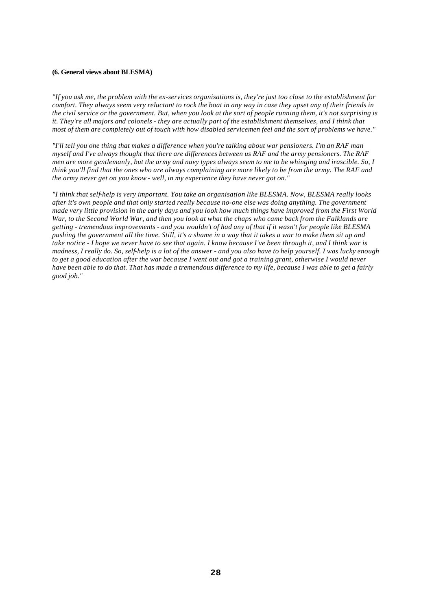#### **(6. General views about BLESMA)**

*"If you ask me, the problem with the ex-services organisations is, they're just too close to the establishment for comfort. They always seem very reluctant to rock the boat in any way in case they upset any of their friends in the civil service or the government. But, when you look at the sort of people running them, it's not surprising is it. They're all majors and colonels - they are actually part of the establishment themselves, and I think that most of them are completely out of touch with how disabled servicemen feel and the sort of problems we have.*"

*"I'll tell you one thing that makes a difference when you're talking about war pensioners. I'm an RAF man myself and I've always thought that there are differences between us RAF and the army pensioners. The RAF men are more gentlemanly, but the army and navy types always seem to me to be whinging and irascible. So, I think you'll find that the ones who are always complaining are more likely to be from the army. The RAF and the army never get on you know - well, in my experience they have never got on."* 

*"I think that self-help is very important. You take an organisation like BLESMA. Now, BLESMA really looks after it's own people and that only started really because no-one else was doing anything. The government made very little provision in the early days and you look how much things have improved from the First World War, to the Second World War, and then you look at what the chaps who came back from the Falklands are getting - tremendous improvements - and you wouldn't of had any of that if it wasn't for people like BLESMA pushing the government all the time. Still, it's a shame in a way that it takes a war to make them sit up and take notice - I hope we never have to see that again. I know because I've been through it, and I think war is madness, I really do. So, self-help is a lot of the answer - and you also have to help yourself. I was lucky enough to get a good education after the war because I went out and got a training grant, otherwise I would never have been able to do that. That has made a tremendous difference to my life, because I was able to get a fairly good job."*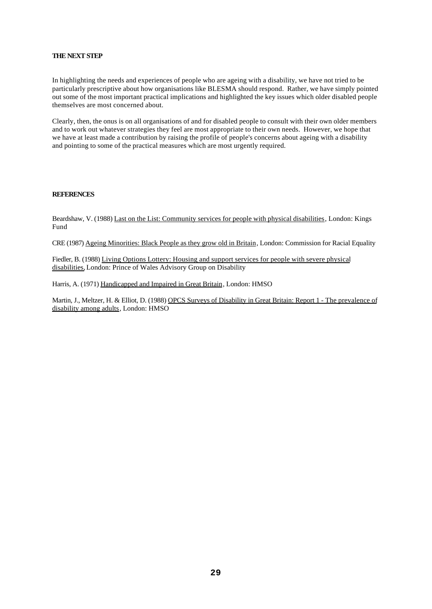#### **THE NEXT STEP**

In highlighting the needs and experiences of people who are ageing with a disability, we have not tried to be particularly prescriptive about how organisations like BLESMA should respond. Rather, we have simply pointed out some of the most important practical implications and highlighted the key issues which older disabled people themselves are most concerned about.

Clearly, then, the onus is on all organisations of and for disabled people to consult with their own older members and to work out whatever strategies they feel are most appropriate to their own needs. However, we hope that we have at least made a contribution by raising the profile of people's concerns about ageing with a disability and pointing to some of the practical measures which are most urgently required.

#### **REFERENCES**

Beardshaw, V. (1988) Last on the List: Community services for people with physical disabilities, London: Kings Fund

CRE (1987) Ageing Minorities: Black People as they grow old in Britain, London: Commission for Racial Equality

Fiedler, B. (1988) Living Options Lottery: Housing and support services for people with severe physical disabilities, London: Prince of Wales Advisory Group on Disability

Harris, A. (1971) Handicapped and Impaired in Great Britain, London: HMSO

Martin, J., Meltzer, H. & Elliot, D. (1988) OPCS Surveys of Disability in Great Britain: Report 1 - The prevalence of disability among adults, London: HMSO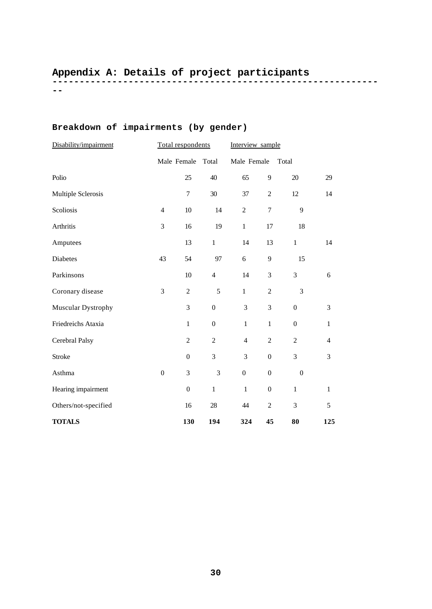## **------------------------------------------------------------ Appendix A: Details of project participants**

**--**

# **Breakdown of impairments (by gender)**

| Disability/impairment | Total respondents |                  |                  | Interview sample |                  |                  |                |
|-----------------------|-------------------|------------------|------------------|------------------|------------------|------------------|----------------|
|                       |                   | Male Female      | Total            | Male Female      |                  | Total            |                |
| Polio                 |                   | 25               | 40               | 65               | 9                | 20               | 29             |
| Multiple Sclerosis    |                   | $\tau$           | 30               | 37               | $\overline{c}$   | 12               | 14             |
| Scoliosis             | $\overline{4}$    | $10\,$           | 14               | $\overline{c}$   | $\boldsymbol{7}$ | 9                |                |
| Arthritis             | 3                 | 16               | 19               | $\mathbf{1}$     | 17               | 18               |                |
| Amputees              |                   | 13               | $\mathbf{1}$     | 14               | 13               | $\mathbf{1}$     | 14             |
| <b>Diabetes</b>       | 43                | 54               | 97               | 6                | 9                | 15               |                |
| Parkinsons            |                   | 10               | $\overline{4}$   | 14               | 3                | $\overline{3}$   | 6              |
| Coronary disease      | 3                 | $\overline{c}$   | 5                | $\mathbf{1}$     | $\overline{c}$   | 3                |                |
| Muscular Dystrophy    |                   | 3                | $\boldsymbol{0}$ | 3                | 3                | $\boldsymbol{0}$ | 3              |
| Friedreichs Ataxia    |                   | $\mathbf{1}$     | $\boldsymbol{0}$ | $\mathbf{1}$     | $\mathbf{1}$     | $\boldsymbol{0}$ | $\mathbf{1}$   |
| Cerebral Palsy        |                   | $\overline{c}$   | $\overline{c}$   | $\overline{4}$   | $\overline{c}$   | $\overline{c}$   | $\overline{4}$ |
| <b>Stroke</b>         |                   | $\boldsymbol{0}$ | 3                | 3                | $\boldsymbol{0}$ | 3                | 3              |
| Asthma                | $\boldsymbol{0}$  | 3                | 3                | $\boldsymbol{0}$ | $\boldsymbol{0}$ | $\boldsymbol{0}$ |                |
| Hearing impairment    |                   | $\boldsymbol{0}$ | $\mathbf{1}$     | $\mathbf{1}$     | $\boldsymbol{0}$ | $\mathbf{1}$     | $\mathbf{1}$   |
| Others/not-specified  |                   | 16               | 28               | 44               | $\overline{c}$   | 3                | 5              |
| <b>TOTALS</b>         |                   | 130              | 194              | 324              | 45               | 80               | 125            |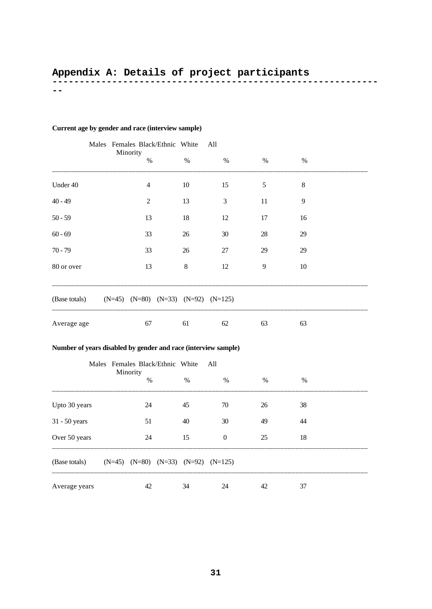## **------------------------------------------------------------ Appendix A: Details of project participants**

**--**

## **Current age by gender and race (interview sample)**

|                                                                |  | Males Females Black/Ethnic White<br>Minority                   |         | All              |              |        |  |  |
|----------------------------------------------------------------|--|----------------------------------------------------------------|---------|------------------|--------------|--------|--|--|
|                                                                |  | $\%$                                                           | $\%$    | $\%$             | $\%$         | $\%$   |  |  |
| Under 40                                                       |  | $\overline{4}$                                                 | $10\,$  | 15               | $\sqrt{5}$   | $8\,$  |  |  |
| $40 - 49$                                                      |  | $\overline{c}$                                                 | 13      | 3                | 11           | 9      |  |  |
| $50 - 59$                                                      |  | 13                                                             | 18      | 12               | 17           | 16     |  |  |
| $60 - 69$                                                      |  | 33                                                             | 26      | 30               | 28           | 29     |  |  |
| $70 - 79$                                                      |  | 33                                                             | $26\,$  | $27\,$           | 29           | 29     |  |  |
| 80 or over                                                     |  | 13                                                             | $\,8\,$ | 12               | $\mathbf{9}$ | $10\,$ |  |  |
| (Base totals)<br>$(N=45)$ $(N=80)$ $(N=33)$ $(N=92)$ $(N=125)$ |  |                                                                |         |                  |              |        |  |  |
| Average age                                                    |  | 67                                                             | 61      | 62               | 63           | 63     |  |  |
|                                                                |  | Number of years disabled by gender and race (interview sample) |         |                  |              |        |  |  |
| Males Females Black/Ethnic White<br>All                        |  |                                                                |         |                  |              |        |  |  |
|                                                                |  | Minority<br>$\%$                                               | $\%$    | $\%$             | $\%$         | $\%$   |  |  |
| Upto 30 years                                                  |  | 24                                                             | 45      | $70\,$           | 26           | 38     |  |  |
| 31 - 50 years                                                  |  | 51                                                             | 40      | 30               | 49           | 44     |  |  |
| Over 50 years                                                  |  | $24\,$                                                         | 15      | $\boldsymbol{0}$ | 25           | 18     |  |  |
| (Base totals)                                                  |  | $(N=45)$ $(N=80)$ $(N=33)$ $(N=92)$ $(N=125)$                  |         |                  |              |        |  |  |

Average years 42 34 24 42 37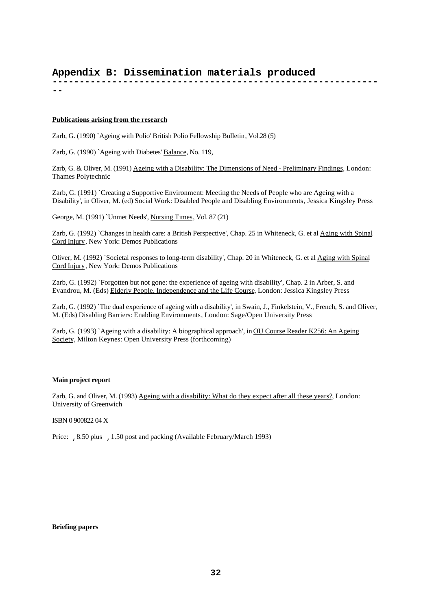# **Appendix B: Dissemination materials produced**

**------------------------------------------------------------ --**

#### **Publications arising from the research**

Zarb, G. (1990) `Ageing with Polio' British Polio Fellowship Bulletin, Vol.28 (5)

Zarb, G. (1990) `Ageing with Diabetes' Balance, No. 119,

Zarb, G. & Oliver, M. (1991) Ageing with a Disability: The Dimensions of Need - Preliminary Findings, London: Thames Polytechnic

Zarb, G. (1991) `Creating a Supportive Environment: Meeting the Needs of People who are Ageing with a Disability', in Oliver, M. (ed) Social Work: Disabled People and Disabling Environments, Jessica Kingsley Press

George, M. (1991) `Unmet Needs', Nursing Times, Vol. 87 (21)

Zarb, G. (1992) `Changes in health care: a British Perspective', Chap. 25 in Whiteneck, G. et al Aging with Spinal Cord Injury, New York: Demos Publications

Oliver, M. (1992) `Societal responses to long-term disability', Chap. 20 in Whiteneck, G. et al Aging with Spinal Cord Injury, New York: Demos Publications

Zarb, G. (1992) `Forgotten but not gone: the experience of ageing with disability', Chap. 2 in Arber, S. and Evandrou, M. (Eds) Elderly People, Independence and the Life Course, London: Jessica Kingsley Press

Zarb, G. (1992) `The dual experience of ageing with a disability', in Swain, J., Finkelstein, V., French, S. and Oliver, M. (Eds) Disabling Barriers: Enabling Environments, London: Sage/Open University Press

Zarb, G. (1993) `Ageing with a disability: A biographical approach', in OU Course Reader K256: An Ageing Society, Milton Keynes: Open University Press (forthcoming)

#### **Main project report**

Zarb, G. and Oliver, M. (1993) Ageing with a disability: What do they expect after all these years?, London: University of Greenwich

ISBN 0 900822 04 X

Price: , 8.50 plus , 1.50 post and packing (Available February/March 1993)

#### **Briefing papers**